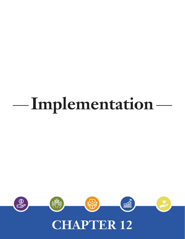# **Implementation**

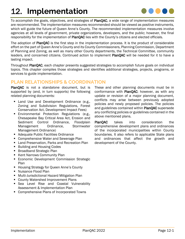# 12. **Implementation**



To accomplish the goals, objectives, and strategies of PlanQAC, a wide range of implementation measures are recommended. The implementation measures recommended should be viewed as positive instruments, which will guide the future of Queen Anne's County. The recommended implementation measures involve agencies at all levels of government, private organizations, developers, and the public; however, the final responsibility for the implementation of PlanQAC lies with the County's citizens and elected officials.

The adoption of PlanQAC is the first step in the implementation process. It is the product of considerable effort on the part of Queen Anne's County and its County Commissioners, Planning Commission, Department of Planning and Zoning, as well as many other County departments, the Technical Committee, community leaders, and concerned citizens. Continued action to implement PlanOAC will be needed for it to have a lasting impact.

Throughout PlanQAC, each chapter presents suggested strategies to accomplish future goals on individual topics. This chapter compiles those strategies and identifies additional strategies, projects, programs, or services to guide implementation.

## **PLAN RELATIONSHIPS & COORDINATION**

PlanQAC is not a standalone document, but is supported by (and, in turn supports) the following related planning documents:

- **Land Use and Development Ordinance (e.g.,** Zoning and Subdivision Regulations, Forest Conservation Act, Development Impact Fees)
- **Environmental Protection Regulations (e.g.,** Chesapeake Bay Critical Area Act, Erosion and Sediment Control Ordinance, Floodplain Management Ordinance, Stormwater Management Ordinance)
- **Adequate Public Facilities Ordinance**
- **Comprehensive Water and Sewerage Plan**
- **Land Preservation, Parks and Recreation Plan**
- **Building and Housing Codes**
- **Broadband Strategic Plan**
- **Kent Narrows Community Plan**
- **Economic Development Commission Strategic** Plan
- **Housing Strategy for Queen Anne's County**
- Nuisance Flood Plan
- **Multi-Jurisdictional Hazard Mitigation Plan**
- **County Watershed Improvement Plans**
- Sea Level Rise and Coastal Vulnerability Assessment & Implementation Plan
- Comprehensive Plans of Incorporated Towns

These and other planning documents must be in conformance with PlanQAC; however, as with any update or revision of a major planning document, conflicts may arise between previously adopted policies and newly proposed policies. The policies and guidelines contained within PlanQAC supersede any conflicting policies or guidelines contained in the above mentioned plans.

PlanQAC takes into consideration the comprehensive development plans and ordinances of the incorporated municipalities within County boundaries. It also refers to applicable State plans and ordinances that affect the growth and development of the County.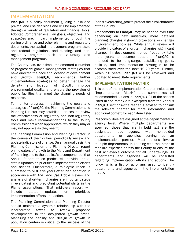### **IMPLEMENTATION**

PlanQAC is a policy document guiding public and private land use decisions and will be implemented through a variety of regulatory and financial tools. Adopted Comprehensive Plan goals, objectives, and strategies are, in part, implemented through the zoning ordinance and other planning and regulatory documents, the capital improvement program, state and federal regulations and funding, and nonregulatory programs such as voluntary land management programs.

The County has, over time, implemented a number of progressive growth management strategies that have directed the pace and location of development and growth. PlanQAC recommends further implementation strategies to better manage the density and location of growth, improve environmental quality, and ensure the provision of public facilities that meet the changing needs of residents.

To monitor progress in achieving the goals and strategies of PlanQAC, the Planning Commission and Planning Director may establish a process to review the effectiveness of regulatory and non-regulatory tools and make recommendations to the County Commissioners when appropriate, which they may or may not approve as they see fit.

The Planning Commission and Planning Director, in the course of their duties, periodically review and update indicators of change. On an annual basis, the Planning Commission and Planning Director report on indicators of growth to the Maryland Department of Planning and to the public. As a component of that Annual Report, these parties will provide annual status updates on prioritized implementation efforts and actions. Furthermore, a mid-cycle report is submitted to MDP five years after Plan adoption in accordance with *The Land Use Article.* Review and analysis of short-term changes are important steps in evaluating and predicting potential shifts in the Plan's assumptions. That mid-cycle report will include status updates on prioritized implementation efforts and action.

The Planning Commission and Planning Director should maintain a dynamic relationship with the incorporated towns to review proposed developments in the designated growth areas. Managing the density and design of growth in population centers is critical to the success of the Plan's overarching goal to protect the rural character of the County.

Amendments to PlanQAC may be needed over time depending on new initiatives, more detailed planning, changes in growth projections, or changes in government policies. While annual review will provide indicators of short-term changes, significant changes in development trends frequently take more years to become apparent. PlanQAC is intended to be long-range, establishing goals, policies, and implementation strategies to be accomplished over the next 10-20 years. Further, within 10 years, PlanQAC will be reviewed and updated to meet State requirements.

#### **IMPLEMENTATION MATRIX**

This part of the Implementation Chapter includes an "Implementation Matrix" that summarizes all recommended actions in PlanQAC. All of the actions listed in the Matrix are excerpted from the various PlanQAC Sections—the reader is advised to consult the relevant chapter for more information and additional context for each item listed.

Responsibilities are assigned at the departmental or agency level. Where multiple departments are specified, those that are in bold text are the designated lead agency, with non-bolded departments or agencies serving as an implementation partner. Most actions involve multiple departments, in keeping with the intent to mobilize expertise across the County to ensure the best achievable outcome for all undertakings. All departments and agencies will be consulted regarding implementation efforts and actions. The following is a list of acronyms used to identify departments and agencies in the implementation matrix.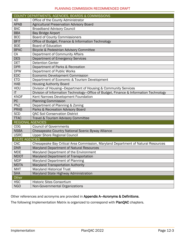|                          | COUNTY DEPARTMENTS, AGENCIES, BOARDS & COMMISSIONS                                    |
|--------------------------|---------------------------------------------------------------------------------------|
| AO                       | Office of the County Administrator                                                    |
| <b>APAB</b>              | <b>Agricultural Preservation Advisory Board</b>                                       |
| <b>BAC</b>               | <b>Broadband Advisory Council</b>                                                     |
| <b>BBA</b>               | <b>Bay Bridge Airport</b>                                                             |
| <b>BCC</b>               | <b>Board of County Commissioners</b>                                                  |
| <b>BFIT</b>              | Office of Budget, Finance & Information Technology                                    |
| <b>BOE</b>               | <b>Board of Education</b>                                                             |
| <b>BPAC</b>              | Bicycle & Pedestrian Advisory Committee                                               |
| CA                       | Department of Community Affairs                                                       |
| <b>DES</b>               | Department of Emergency Services                                                      |
| <b>DET</b>               | <b>Detention Center</b>                                                               |
| <b>DPR</b>               | Department of Parks & Recreation                                                      |
| <b>DPW</b>               | Department of Public Works                                                            |
| <b>EDC</b>               | Economic Development Commission                                                       |
| <b>ETD</b>               | Department of Economic & Tourism Development                                          |
| <b>HAB</b>               | <b>Housing Authority Board</b>                                                        |
| HOU                      | Division of Housing-Department of Housing & Community Services                        |
| $\mathsf{I}\mathsf{T}$   | Division of Information Technology-Office of Budget, Finance & Information Technology |
| <b>KNDF</b>              | Kent Narrows Development Foundation                                                   |
| <b>PC</b>                | <b>Planning Commission</b>                                                            |
| PNZ                      | Department of Planning & Zoning                                                       |
| <b>PRAB</b>              | Parks & Recreation Advisory Board                                                     |
| <b>SCD</b>               | <b>QAC Soil Conservation District</b>                                                 |
| <b>TTAC</b>              | Travel & Tourism Advisory Committee                                                   |
| <b>REGIONAL AGENCIES</b> |                                                                                       |
| <b>COG</b>               | <b>Council of Governments</b>                                                         |
| <b>NSBA</b>              | Chesapeake Country National Scenic Byway Alliance                                     |
| <b>USRC</b>              | <b>Upper Shore Regional Council</b>                                                   |
| <b>STATE AGENCIES</b>    |                                                                                       |
| CAC                      | Chesapeake Bay Critical Area Commission, Maryland Department of Natural Resources     |
| <b>DNR</b>               | Maryland Department of Natural Resources                                              |
| <b>MDE</b>               | Maryland Department of the Environment                                                |
| <b>MDOT</b>              | Maryland Department of Transportation                                                 |
| <b>MDP</b>               | Maryland Department of Planning                                                       |
| <b>MDTA</b>              | Maryland Transportation Authority                                                     |
| <b>MHT</b>               | <b>Maryland Historical Trust</b>                                                      |
| <b>SHA</b>               | Maryland State Highway Administration                                                 |
| Other                    |                                                                                       |
| <b>HSC</b>               | <b>Historic Sites Consortium</b>                                                      |
| <b>NGO</b>               | Non-Governmental Organizations                                                        |

Other references and acronyms are provided in Appendix A—Acronyms & Definitions.

The following Implementation Matrix is organized to correspond with PlanQAC chapters.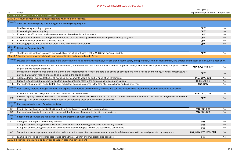|                            |                                                                                                                                                                                                                                                                       | Lead Agency &                  |                |
|----------------------------|-----------------------------------------------------------------------------------------------------------------------------------------------------------------------------------------------------------------------------------------------------------------------|--------------------------------|----------------|
| No.                        | Action                                                                                                                                                                                                                                                                | <b>Implementation Partners</b> | Capital Item   |
|                            | <b>CHAPTER 3-COMMUNITY FACILITIES &amp; SERVICES</b>                                                                                                                                                                                                                  |                                |                |
|                            | GOAL 3-1: Reduce environmental impacts associated with community facilities.                                                                                                                                                                                          |                                |                |
| Strategy                   | Seek to increase recycling rates through improved recycling programs.                                                                                                                                                                                                 |                                |                |
| $1.1\,$                    | Modify existing recycling programs.                                                                                                                                                                                                                                   | <b>DPW</b>                     | No             |
| 1.2                        | Explore single stream recycling.                                                                                                                                                                                                                                      | <b>DPW</b>                     | <b>No</b>      |
| 1.3                        | Explore more efficient and available ways to collect household hazardous waste.                                                                                                                                                                                       | <b>DPW</b>                     | No             |
| 1.4                        | Support private and non-profit organization efforts to promote recycling and coordinate with private industry recyclers.                                                                                                                                              | <b>DPW</b>                     | N <sub>o</sub> |
| 1.5                        | Explore innovation and creative ways to recycle.                                                                                                                                                                                                                      | <b>DPW</b>                     | No             |
| 1.6                        | Encourage private industry and non-profit efforts to use recycled materials.                                                                                                                                                                                          | <b>DPW</b>                     | <b>No</b>      |
| Strategy<br>$\overline{2}$ | Mid-Shore Regional Landfill.                                                                                                                                                                                                                                          |                                |                |
| 2.1                        | The County will continue to assess the feasibility of the siting of Phase 3 of the Mid-Shore Regional Landfill.                                                                                                                                                       | <b>DPW</b>                     | No             |
|                            | GOAL 3-2: Provide sustainable smart growth management inside and outside Growth Areas.                                                                                                                                                                                |                                |                |
| Strategy                   | Develop affordable, reliable, and state-of-the-art infrastructure and community facilities/services that meet the safety, transportation, communication system, and entertainment needs of the County's population.                                                   |                                |                |
| 1.1                        | Ensure the Adequate Public Facilities Ordinance (APFO) and Impact Fee Ordinance are maintained and improved through annual review to provide adequate public facilities<br>as part of development proposals.                                                          | PNZ, DPW, ETD, BFIT            | No             |
| 1.2                        | Infrastructure improvements should be planned and implemented to control the rate and timing of development, with a focus on the timing of when infrastructure is<br>provided, which may require projects to be included in the capital budget.                       | <b>DPW</b>                     | <b>No</b>      |
| 1.3                        | Adequate Public Facilities testing of all municipal developments should be part of Annexation Agreements.                                                                                                                                                             | PNZ, DPW, COG                  | No             |
| 1.4                        | Support regional and State organizations that install countywide state-of-the-art data and telecommunications.                                                                                                                                                        | IT, BAC, USRC                  | No             |
| 1.5                        | Provide for the protection and adaptability of public facilities and resources in the face of climate change and sea level rise.                                                                                                                                      | PNZ, DPW                       | No             |
| Strategy                   | Plan, design, improve, manage, maintain, and expand infrastructure and community facilities and services responsibly to meet the needs of residents and businesses.                                                                                                   |                                |                |
| 2.1                        | Expand the County's trail system to connect towns and recreation areas.                                                                                                                                                                                               | P&R, DPW, COG                  | Yes            |
| 2.2                        | If sewer capacity becomes available at the KNSG Wastewater Treatment Plant, it should be utilized to meet the needs identified in the County's Comprehensive Water &<br>Sewerage Plan and Comprehensive Plan specific to addressing areas of public health emergency. | <b>DPW</b>                     | No             |
| Strategy<br>3              | Encourage development of medical facilities.                                                                                                                                                                                                                          |                                |                |
| 3.1                        | Identify key locations for medical facilities with sufficient access to roads and infrastructure.                                                                                                                                                                     | ETD, PNZ, EDC                  | No             |
| 3.2                        | Encourage public/private partnerships to support development of community facilities and services.                                                                                                                                                                    | ETD, EDC, BCC                  | No             |
| Strategy                   | Support and encourage the maintenance and enhancement of public safety services.                                                                                                                                                                                      |                                |                |
| 4.1                        | Strengthen and expand public safety services.                                                                                                                                                                                                                         | <b>DES</b>                     | No             |
|                            | a. Support and encourage the establishment of benchmarks for providing acceptable public safety services.                                                                                                                                                             | <b>DES</b>                     | No             |
|                            | b. Support and encourage development and implementation strategies to meet the established benchmarks.                                                                                                                                                                | <b>DES</b>                     | No             |
| 4.2                        | Support and encourage appropriate studies to determine the impact fees necessary to support public safety consistent with the need generated by new growth.                                                                                                           | PNZ, DPW, ETD, DES, BFIT       | No             |
| 4.3                        | Examine protocols to provide for cooperation among State, County, and municipal police agencies.                                                                                                                                                                      | <b>DES</b>                     | No             |
|                            | GOAL 3-3: Provide infrastructure and services to support economic development.                                                                                                                                                                                        |                                |                |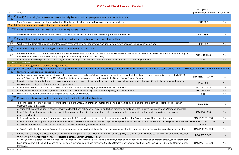|                                   |                                                                                                                                                                                                                                                                                                                                                                            | Lead Agency &                    |              |
|-----------------------------------|----------------------------------------------------------------------------------------------------------------------------------------------------------------------------------------------------------------------------------------------------------------------------------------------------------------------------------------------------------------------------|----------------------------------|--------------|
| No.                               | Action                                                                                                                                                                                                                                                                                                                                                                     | Implementation Partners          | Capital Item |
| Strategy                          | Identify future trails/paths to connect residential neighborhoods with shopping centers and employment centers.                                                                                                                                                                                                                                                            |                                  |              |
| 1.1                               | Strongly support improvement and dedication of lands for public trails and paths as part of development plans.                                                                                                                                                                                                                                                             | P&R, PNZ                         | No           |
|                                   | GOAL 3-4: Provide appropriate services, facilities, and amenities.                                                                                                                                                                                                                                                                                                         |                                  |              |
| Strategy                          | Provide additional public access to tidal waters at appropriate locations.                                                                                                                                                                                                                                                                                                 |                                  |              |
| 1.1                               | When development or redevelopment occurs, provide public access to tidal waters where appropriate and feasible.                                                                                                                                                                                                                                                            | PNZ, P&R                         | No           |
| <b>Strategy</b><br>$\overline{2}$ | Support the educational plans for land acquisition, new facilities, and improvements to existing facilities.                                                                                                                                                                                                                                                               |                                  |              |
| 2.1                               | Work with the Board of Education, developers, and other entities to support master planning to meet future needs of the educational system.                                                                                                                                                                                                                                | BOE, PNZ                         | No           |
| Strategy<br>3                     | Evaluate and implement the strategies and capital improvements in the LPPRP.                                                                                                                                                                                                                                                                                               |                                  |              |
| 3.1                               | Promote the economic, cultural, health, and environmental benefits of outdoor recreation and conservation of natural lands. Seek to increase the public's understanding of<br>these benefits to enhance interest and participation in recreating outdoors in the County.                                                                                                   | P&R, ETD, TTAC                   | <b>No</b>    |
| 3.2                               | Increase and improve opportunities for all segments of the population to access land and water-based outdoor recreation opportunities.                                                                                                                                                                                                                                     | <b>P&amp;R</b>                   | <b>No</b>    |
|                                   | <b>CHAPTER 4-LAND USE</b>                                                                                                                                                                                                                                                                                                                                                  |                                  |              |
|                                   | GOAL 4-1: Growth management, regulations, design/land use.                                                                                                                                                                                                                                                                                                                 |                                  |              |
| <b>Strategy</b>                   | Review current site design standards to further promote environmental protection, landscaping, and aesthetics as well as seeking to preserve scenic beauty, vistas, viewscapes, and un-fragmented forestland and                                                                                                                                                           |                                  |              |
| $\mathbf 1$                       | farmland through compact residential design.                                                                                                                                                                                                                                                                                                                               |                                  |              |
| 1.1                               | Continue to promote scenic byways with consideration of land use and design tools to ensure the corridors retain their beauty and scenic characteristics (potentially US 301<br>and MD 544; currently MD 213 and MD 18 are Scenic Byways) and continue to participate in the State's Scenic Byways Program.                                                                | ETD, PNZ, TTAC, SHA              | Yes          |
| 1.2                               | Establish design standards that will preserve vistas, viewscapes, and unfragmented farmland, which may include screening, setbacks, sign guidelines, enhanced buffer yard<br>requirements, contiguous clustered lots, and open space.                                                                                                                                      | PNZ, HSC                         | <b>No</b>    |
| 1.3                               | Evaluate the creation of a US 50/301 Corridor Plan that considers buffer, signage, and architectural standards.                                                                                                                                                                                                                                                            | PNZ, DPW, SHA                    | No           |
| 1.4                               | Identify Eastern Shore vernacular, create a pattern book, and develop design standards for highway/retail commercial.                                                                                                                                                                                                                                                      | PNZ, HCS, AB                     | No.          |
| 1.5                               | Discourage residential development along major transportation corridors.                                                                                                                                                                                                                                                                                                   | <b>PNZ</b>                       | No           |
| <b>Strategy</b><br>$\overline{2}$ | Manage and adequately provide for thoughtful growth that reflects the County's vision.                                                                                                                                                                                                                                                                                     |                                  |              |
| 2.1                               | The sewer portion of the Allocation Policy (Appendix 1 of the 2011 Comprehensive Water and Sewerage Plan) should be amended to clearly address the current sewer<br>treatment capacity limitation.                                                                                                                                                                         | DPW, PNZ                         | No           |
|                                   | a. Affirm that the existing County sewer capacity has largely been obligated for existing and future projects (as outlined in the County's Comprehensive Water and Sewerage<br>Plan, Schedule A). Recommendations will avoid the promotion of policies that cannot be implemented due to lack of capacity or that create unrealistic development<br>expectation timelines. | DPW, PNZ, COG                    | <b>No</b>    |
|                                   | b. Acknowledge limited sewerage treatment capacity at KNSG needs to be rationed and strategically managed over the Comprehensive Plan's planning period.                                                                                                                                                                                                                   | DPW, PNZ, PC, BCC                | No           |
|                                   | c. Recognize that existing infill opportunities are sufficient to consume all available sewer capacity, and promote infill, renovation, and revitalization strategies as alternatives<br>to new residential development on vacant lands. Consider incentivizing infill development.                                                                                        | DPW, PNZ, PC, BCC, COG,<br>Towns | <b>No</b>    |
|                                   | d. Recognize the location and large amount of approved but unbuilt residential development that can be constructed to full buildout using existing capacity commitments.                                                                                                                                                                                                   | DPW, PNZ, AO, BCC                | No           |
| 2.2                               | Pursue with the Maryland Department of the Environment (MDE) a 10% re-rating in existing plant capacity as a short-term measure to address the treatment capacity<br>limitations (refer to Appendix D-Water Resources Element, Opinion Strategy-No. 1).                                                                                                                    | DPW, MDE, BCC                    | <b>No</b>    |
|                                   | a. Recognize that a portion of any increase in sewer capacity, which may be achieved via a re-rating, needs to be managed and reserved to address existing subdivisions that<br>have documented public health concerns (failing septic systems) as outlined within the County's Comprehensive Water and Sewerage Plan since 1990 (e.g., Marling Farms,<br>Dominion).       | DPW, PNZ, PC, BCC                | No           |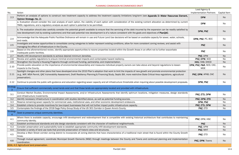| No.                  | Action                                                                                                                                                                                                                                                                                                                                                                     | <b>Implementation Partners</b>         | Capital      |
|----------------------|----------------------------------------------------------------------------------------------------------------------------------------------------------------------------------------------------------------------------------------------------------------------------------------------------------------------------------------------------------------------------|----------------------------------------|--------------|
| 2.3                  | Perform an analysis of options to construct new treatment capacity to address the treatment capacity limitations long-term (see Appendix D-Water Resources Element,<br>Opinion Strategy-No. 2).                                                                                                                                                                            | <b>DPW</b>                             | <b>Nc</b>    |
|                      | a. Evaluation should consider the cost analysis of each option, the viability of each option with consideration of the existing nutrient allocation as determined by current<br>TMDL regulations, and a regulatory analysis as each option's potential to be permitted.                                                                                                    | <b>DPW</b>                             | No           |
|                      | b. The evaluation should also carefully consider the potential growth available to ensure that the servicing of the debt incurred by the expansion can be readily satisfied by<br>new development (not by existing customers) and that said potential new development is of a nature consistent with the goals and objectives of PlanQAC.                                  | DPW, PNZ                               | <b>Nc</b>    |
| 2.4                  | Acknowledge that the Adequate Public Facilities Ordinance will remain in use and Future Land Use decisions will be based on available capacity for sewer, water, schools,<br>and roads.                                                                                                                                                                                    | DPW, PNZ, PC, BCC                      | <b>Nc</b>    |
| 2.5                  | Investigate and review opportunities to consolidate zoning categories to better represent existing conditions, allow for more consistent zoning reviews, and assist with<br>managing the effect of infrastructure in the County.                                                                                                                                           | <b>PNZ</b>                             | <b>Nc</b>    |
| 2.6                  | Based on the aforementioned review, identify appropriate opportunities to rezone properties located within the Growth Areas in an effort not to further exacerbate<br>inadequate public facilities.                                                                                                                                                                        | <b>PNZ</b>                             | <b>N</b>     |
| 2.7                  | Modify infill development standards to achieve desired minimum densities.                                                                                                                                                                                                                                                                                                  | PNZ, DPW                               | <b>Nc</b>    |
| 2.8                  | Review and update regulations to ensure minimal environmental impacts and contemplate hazard resiliency.                                                                                                                                                                                                                                                                   | PNZ, DPW, SCD                          | <b>Nc</b>    |
| 2.9                  | Strengthen the County's Housing Programs through continued funding, partnership, and implementation.                                                                                                                                                                                                                                                                       | HOU, HAB, DHCD                         | <b>Nc</b>    |
| 2.10                 | Provide public education on the importance of environmental stewardship and measures individual property owners can take above and beyond regulations to lessen<br>impacts to the County.                                                                                                                                                                                  | DPW, PNZ, P&R, SCD, CAC,<br><b>MDE</b> | <b>Nc</b>    |
| 2.11                 | Spotlight changes and other plans that have developed since the 2010 Plan's adoption that work to limit the impacts of new growth and promote environmental protection<br>(e.g., WIP, MS4 Permit, QAC Vulnerability Assessment, Draft Resiliency Planning & Financing Study, Septic Bill, more restrictive State Critical Area regulations, agricultural<br>preservation). | PNZ, DPW, APAB, CAC                    | <b>Nc</b>    |
| 2.12                 | Continue to provide the public with guidance and education regarding sewer capacity and all infrastructure thresholds when inquiring about possible development proposals.                                                                                                                                                                                                 | DPW, PNZ                               | <b>N</b> c   |
| <b>Strategy</b><br>3 | Ensure that sufficient commercially zoned lands exist and that those lands are appropriately located and provided with infrastructure.                                                                                                                                                                                                                                     |                                        |              |
| 3.1                  | Conduct Market Studies, Environmental Impact Assessments, and/or Infrastructure Assessments that identify optimum locations, mitigation measures, design standards<br>and infrastructure investments.                                                                                                                                                                      | PNZ, ETD, DPW                          | <b>N</b> c   |
| 3.2                  | Identify necessary infrastructure in coordination with studies identified above, as well as potential funding sources.                                                                                                                                                                                                                                                     | PNZ, DPW, ETD                          | <b>Nc</b>    |
| 3.3                  | Reserve remaining sewer capacity for commercial uses, institutional uses, and other economic development endeavors.                                                                                                                                                                                                                                                        | DPW, PNZ                               | No           |
| 3.4                  | Establish criteria to provide incentives for low-impact businesses that will not further impact public infrastructure capacity.                                                                                                                                                                                                                                            | PNZ, ETD, DPW                          | <sub>N</sub> |
| 3.5                  | Contemplate the findings of the 2018 Sage Policy Group Study of the US 301 Corridor in Queen Anne's County.                                                                                                                                                                                                                                                                | PNZ, ETD                               | <b>N</b> c   |
| <b>Strategy</b><br>4 | Seek to preserve unique community identities.                                                                                                                                                                                                                                                                                                                              |                                        |              |
| 4.1                  | Where there is available capacity, encourage infill development and redevelopment that is compatible with existing historical architecture that contributes to maintaining<br>community identity.                                                                                                                                                                          | PNZ, DPW, HSC                          | <b>Nc</b>    |
| 4.2                  | Establish architectural standards and site design standards consistent with the character of traditional neighborhoods.                                                                                                                                                                                                                                                    | <b>PNZ</b>                             | <b>Nc</b>    |
| 4.3                  | Consider preservation and sustainability tools to establish appropriate community infill development standards.                                                                                                                                                                                                                                                            | PNZ, DPW                               | No           |
| 4.4                  | Consider a variety of land use tools that promote preservation of historic sites and structures.                                                                                                                                                                                                                                                                           | PNZ, MHT                               | <b>Nc</b>    |
| 4.5                  | Develop a Main Street corridor zoning district to incorporate all zoning districts that have characteristics of a traditional main street that is found within the County Growth<br>Areas.                                                                                                                                                                                 | PNZ, ETD                               | <b>N</b>     |
| 4.6                  | Through mutual agreement, coordinate Municipal Growth Elements (MGE) through meetings between the County and Towns and continued planning and implementation<br>coordination.                                                                                                                                                                                              | PNZ, DPW, Towns                        | <b>Nc</b>    |
|                      | GOAL 4-2: Agricultural land preservation.                                                                                                                                                                                                                                                                                                                                  |                                        |              |

| Lead Agency &<br><b>Implementation Partners</b><br>Capital Item |                          |           |  |
|-----------------------------------------------------------------|--------------------------|-----------|--|
| es Element,                                                     | <b>DPW</b>               | <b>No</b> |  |
|                                                                 |                          |           |  |
| d by current                                                    | <b>DPW</b>               | No        |  |
| satisfied by                                                    | DPW, PNZ                 | <b>No</b> |  |
| schools,                                                        | DPW, PNZ, PC, BCC        | No        |  |
| with                                                            | <b>PNZ</b>               | <b>No</b> |  |
| e                                                               | <b>PNZ</b>               | No        |  |
|                                                                 | PNZ, DPW                 | <b>No</b> |  |
|                                                                 | PNZ, DPW, SCD            | No        |  |
|                                                                 | HOU, HAB, DHCD           | <b>No</b> |  |
| ssen                                                            | DPW, PNZ, P&R, SCD, CAC, |           |  |
|                                                                 | <b>MDE</b>               | No        |  |
| protection<br>icultural                                         | PNZ, DPW, APAB, CAC      | <b>No</b> |  |
| it proposals.                                                   | DPW, PNZ                 | No        |  |
|                                                                 |                          |           |  |
| n standards                                                     | PNZ, ETD, DPW            | No        |  |
|                                                                 | PNZ, DPW, ETD            | <b>No</b> |  |
|                                                                 | DPW, PNZ                 | <b>No</b> |  |
|                                                                 | PNZ, ETD, DPW            | No        |  |
|                                                                 | PNZ, ETD                 | No        |  |
|                                                                 |                          |           |  |
| maintaining                                                     | PNZ, DPW, HSC            | No        |  |
|                                                                 | <b>PNZ</b>               | <b>No</b> |  |
|                                                                 | PNZ, DPW                 | No        |  |
|                                                                 | PNZ, MHT                 | <b>No</b> |  |
| unty Growth                                                     | PNZ, ETD                 | No        |  |
| lementation                                                     | PNZ, DPW, Towns          | No        |  |
|                                                                 |                          |           |  |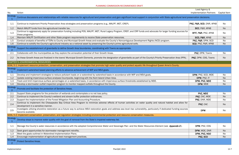|              | Lead Agency &                        |              |
|--------------|--------------------------------------|--------------|
|              | <b>Implementation Partners</b>       | Capital Item |
|              |                                      |              |
|              | ultural land preservation decisions. |              |
|              |                                      |              |
|              | PNZ, P&R, SCD, DNR, APAB             | <b>No</b>    |
|              | BCC, P&R, APAB                       | <b>No</b>    |
| sources for  |                                      |              |
|              | BFIT, P&R, PNZ, APAB                 | No           |
|              | SCD, P&R, APAB                       | <b>No</b>    |
|              | PNZ, P&R, DPW, SCD                   | No           |
|              | SCD, PNZ, P&R, APAB                  | <b>No</b>    |
|              |                                      |              |
|              |                                      |              |
|              | PNZ, DPW, Towns                      | No           |
|              |                                      |              |
| Area (PPA).  | PNZ, DPW, COG, Towns                 | <b>No</b>    |
|              |                                      |              |
| nty.         |                                      |              |
|              |                                      |              |
|              |                                      |              |
|              | DPW, PNZ, SCD, MDE                   | No           |
|              | DPW, PNZ, IT                         | <b>No</b>    |
|              | DPW, PNZ, MDE                        | <b>No</b>    |
|              | DPW, MDE                             | <b>No</b>    |
|              |                                      |              |
|              |                                      |              |
|              | PNZ, MDE                             | No           |
|              | PNZ, CAC, MDE                        | No           |
|              | PNZ, DNR, MDE                        | No           |
| nd allow for |                                      |              |
|              | PNZ, CAC                             | <b>No</b>    |
| ding sources |                                      |              |
|              | <b>DPW</b>                           | No           |
|              |                                      |              |
|              |                                      |              |
|              |                                      |              |
|              |                                      |              |
| dix D).      | DPW, PNZ, COG                        | No           |
|              | DPW, MDE, DNR                        | <b>No</b>    |
|              | DPW, PNZ, NGO                        | No           |
|              | PNZ, SCD                             | <b>No</b>    |
|              |                                      |              |
|              |                                      |              |
|              |                                      |              |

| No.                               | Action                                                                                                                                                                                                   | <b>Implementation Partners</b> | Capital    |
|-----------------------------------|----------------------------------------------------------------------------------------------------------------------------------------------------------------------------------------------------------|--------------------------------|------------|
| <b>Strategy</b>                   | Continue discussions and relationships with reliable resources for agricultural land preservation and gain significant local support in conjunction with State agricultural land preservation decisions. |                                |            |
| 1.1                               | Continue to implement Priority Preservation Area strategies and preservation programs (e.g., MALPF, MET, CREP).                                                                                          | PNZ, P&R, SCD, DNR, APAB       | No         |
| 1.2                               | Match MALPF funds from the agricultural transfer tax.                                                                                                                                                    | BCC, P&R, APAB                 | <b>Nc</b>  |
| 1.3                               | Continue to aggressively apply for preservation funding including POS, MALPF, MET, Rural Legacy Program, CREP, and CRP funds and advocate for larger funding sources for<br>these programs.              | BFIT, P&R, PNZ, APAB           | <b>Nc</b>  |
| 1.4                               | Maintain MALPF Certification and other State program requirements to receive State preservation resources.                                                                                               | SCD, P&R, APAB                 | <b>Nc</b>  |
| 1.5                               | Conduct analysis of benefits of TDRs to County and Municipal Growth Areas and evaluate the County's Noncontiguous Development Rights (NCD) program.                                                      | PNZ, P&R, DPW, SCD             | <b>Nc</b>  |
| 1.6                               | Continue to solidify the County's agricultural industry as a national asset by preserving the County's prime agricultural soils.                                                                         | SCD, PNZ, P&R, APAB            | <b>Nc</b>  |
| <b>Strategy</b><br>$\overline{2}$ | Support the establishment of greenbelts to define Growth Area boundaries, coordinating with Towns as appropriate.                                                                                        |                                |            |
| 2.1                               | Collaborate with the municipalities as they explore the annexation potential of their Growth Areas.                                                                                                      | PNZ, DPW, Towns                | <b>N</b> c |
| 2.2                               | As these Growth Areas are finalized in the towns' Municipal Growth Elements, promote the designation of greenbelts as part of the County's Priority Preservation Area (PPA).                             | PNZ, DPW, COG, Towns           | Nc         |
|                                   | <b>CHAPTER 5-ENVIRONMENTAL RESOURCES</b>                                                                                                                                                                 |                                |            |
|                                   | GOAL 5-1: Implement resource protection, conservation, and preservation strategies that promote high water quality and protect aquatic life throughout Queen Anne's County.                              |                                |            |
| <b>Strategy</b>                   | Implement watershed based planning efforts to advance achievement of WIP and MS4 goals.                                                                                                                  |                                |            |
| 1.1                               | Develop and implement strategies to reduce pollutant loads on a watershed by watershed basis in accordance with WIP and MS4 goals.                                                                       | DPW, PNZ, SCD, MDE             | <b>Nc</b>  |
| 1.2                               | Update existing impervious surface analyses Countywide, beginning with the Kent Island Urban Area.                                                                                                       | DPW, PNZ, IT                   | No         |
| 1.3                               | Track and limit impervious surface percentages on a watershed basis, in accordance with impervious surface thresholds established by MDE.                                                                | DPW, PNZ, MDE                  | <b>Nc</b>  |
| 1.4                               | Develop a stormwater outfall inspection program to monitor mapped outfalls throughout the County.                                                                                                        | DPW, MDE                       | <b>Nc</b>  |
| <b>Strategy</b><br>$\overline{2}$ | Promote and facilitate the protection of Sensitive Areas.                                                                                                                                                |                                |            |
| 2.1                               | Support State programs for the protection of wetlands and contemplate a no net loss policy.                                                                                                              | PNZ, MDE                       | <b>Nc</b>  |
| 2.2                               | Continue to implement the County's wetland and stream buffer protection ordinances.                                                                                                                      | PNZ, CAC, MDE                  | <b>Nc</b>  |
| 2.3                               | Support the implementation of the Forest Mitigation Plan and Accounting Procedure.                                                                                                                       | PNZ, DNR, MDE                  | <b>Nc</b>  |
| 2.4                               | Continue to implement the Chesapeake Bay Critical Area Program to minimize adverse effects of human activities on water quality and natural habitat and allow for<br>development in a sensitive manner.  | PNZ, CAC                       | <b>Nc</b>  |
| 2.5                               | Investigate utilizing shoreline restoration as a future way to achieve MS4 restoration goals and address sea level rise vulnerability, particularly if dedicated funding sources<br>become available.    | <b>DPW</b>                     | <b>Nc</b>  |
|                                   | GOAL 5-2: Implement conservation, preservation, and regulation strategies including environmental protection and resource conservation measures.                                                         |                                |            |
| <b>Strategy</b>                   | Develop steps to improve water quality with the goal of removal from the State's impaired waterway list.                                                                                                 |                                |            |
| 1.1                               | Manage the County's water resources in accordance with the adopted Comprehensive Water and Sewerage Plan and the Water Resources Element (see Appendix D).                                               | DPW, PNZ, COG                  | <b>N</b>   |
| 1.2                               | Seek grant opportunities for stormwater management retrofits.                                                                                                                                            | DPW, MDE, DNR                  | <b>Nc</b>  |
| 1.3                               | Meet the goals outlined in Watershed Implementation Plans.                                                                                                                                               | DPW, PNZ, NGO                  | <b>Nc</b>  |
| 1.4                               | Encourage implementation of agricultural best management practices.                                                                                                                                      | PNZ, SCD                       | <b>Nc</b>  |
| <b>Strategy</b>                   | <b>Protect Sensitive Areas.</b>                                                                                                                                                                          |                                |            |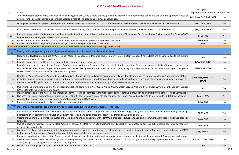|                                   |                                                                                                                                                                                                                                                                                                                                                                                                                                                                           | Lead Agency &                      |              |
|-----------------------------------|---------------------------------------------------------------------------------------------------------------------------------------------------------------------------------------------------------------------------------------------------------------------------------------------------------------------------------------------------------------------------------------------------------------------------------------------------------------------------|------------------------------------|--------------|
| No.                               | Action                                                                                                                                                                                                                                                                                                                                                                                                                                                                    | <b>Implementation Partners</b>     | Capital Item |
|                                   | To accommodate storm surges, nuisance flooding, rising sea levels, and climate change, prevent development in mapped flood zones and evaluate the appropriateness of                                                                                                                                                                                                                                                                                                      |                                    |              |
| 2.1                               | going beyond FEMA requirements to consider additional restrictions based on projected sea level rise.                                                                                                                                                                                                                                                                                                                                                                     | PNZ, DPW, CAC, DNR, MDE            | No           |
| 2.2                               | During new development project review, contemplate the 2016 Sea Level Rise and Coastal Vulnerability Assessment Plan, which identified key vulnerable resources.                                                                                                                                                                                                                                                                                                          | PNZ, DPW, P&R                      | No           |
| 2.3                               | Finalize the 2019 County Climate Resilience Planning and Financing Study and contemplate the prioritization of resiliency projects and capital improvements.                                                                                                                                                                                                                                                                                                              | PNZ, DPW, P&R                      | No           |
| 2.4                               | Implement aggressive efforts to reduce sediment, nutrient, and pollution delivery to flowing streams and the Chesapeake Bay by employing Environmental Site Design (ESD)<br>techniques and meeting MS4/NPDES requirements.                                                                                                                                                                                                                                                | DPW, PNZ                           | <b>No</b>    |
| 2.5                               | Utilize updated flood risk data from FEMA when it becomes available to update outdated flood risk maps.                                                                                                                                                                                                                                                                                                                                                                   | DPW, PNZ                           | No           |
| 2.6                               | Review current best management practices for light pollution and preservation of "dark skies."                                                                                                                                                                                                                                                                                                                                                                            | <b>PNZ</b>                         | <b>No</b>    |
|                                   | GOAL 5-3: Implement a growth management strategy to direct new and infill development to existing Growth Areas.                                                                                                                                                                                                                                                                                                                                                           |                                    |              |
| <b>Strategy</b>                   | Meet growth management goals and objectives with respect to public water supplies and facilities.                                                                                                                                                                                                                                                                                                                                                                         |                                    |              |
| 1.1                               | Require the development and use of Water Supply Capacity Management Plans for each community water system to support new allocations or connections to the system<br>and to prevent capacity over allocation.                                                                                                                                                                                                                                                             | <b>DPW</b>                         | No           |
| 1.2                               | Establish watershed or wellhead protection strategies for water supply sources.                                                                                                                                                                                                                                                                                                                                                                                           | DPW, PNZ, MDE                      | <b>No</b>    |
| 1.3                               | Establish water service areas in the County's Comprehensive Water and Sewerage Plan consistent with the Land Use Element based upon ability of the water resource to<br>support development based on population growth as well as development capacity analysis based upon zoning (i.e. make any necessary updates based upon changes to<br>Growth Areas, Town annexations, and Priority Funding Areas).                                                                  | DPW, PNZ, COG                      | No           |
| 1.4                               | Develop a Water Protection Plan working collaboratively through inter-jurisdictional agreements between the County and the Towns for planning and implementation,<br>including tracking water-level declines of groundwater resources; the need for additional observation wells placed across the County to measure impacts of pumpage for<br>domestic use and irrigation; and continued monitoring and study to ensure an adequate supply of necessary water resources. | DPW, PNZ, MDE COG,<br><b>Towns</b> | No           |
| 1.5                               | Implement the immediate and short-term recommendations contained in the Queen Anne's County Water Service Area Study for Queen Anne's County Sanitary District<br>(2009). Refer to the study for more details.                                                                                                                                                                                                                                                            | <b>DPW</b>                         | Yes          |
|                                   | Make upgrades to existing water treatment facilities for the Towns as identified in their respective comprehensive plans, such as arsenic removal at the Town of Centreville's<br>Business Park water treatment plant to treat up to 1,440,000 gpd; increased water storage capacity near Queen Anne's County High School for up to 600,000 gallons; and<br>consider the reuse of water within planned annexation areas around Centreville.                               | Towns, DPW                         | Yes          |
| 1.7                               | Implement water conservation policies, guidelines, and regulations.                                                                                                                                                                                                                                                                                                                                                                                                       | DPW, PNZ                           | No           |
| <b>Strategy</b><br>$\overline{2}$ | Meet growth management goals and objectives with respect to public and private wastewater facilities.                                                                                                                                                                                                                                                                                                                                                                     |                                    |              |
| 2.1                               | Implement the recommendations contained in the Queen Anne's County Comprehensive Water and Sewerage Plan (2011 and subsequent amendments), including<br>addressing on-lot septic system failures on Southern Kent Island and other areas of concern (e.g., Dominion & Marling Farms).                                                                                                                                                                                     | DPW, MDE                           | Yes          |
| 2.2                               | Update the County's Comprehensive Water and Sewerage Plan to be consistent with PlanQAC's changes to future land use and recommendations regarding sewer capacity<br>limitations.                                                                                                                                                                                                                                                                                         | DPW, PNZ                           | No           |
| 2.3                               | Use of innovative methods including Best Available Technology (BAT) for on-site treatment and disposal of wastewater to address public health concerns by reducing<br>nitrogen discharge levels.                                                                                                                                                                                                                                                                          | DPW, MDE                           | Yes          |
| 2.4                               | Continue compliance with state and federal requirements with respect to permitting and reaching nitrogen reduction standards (use of Enhanced Nutrient Reduction (ENR)<br>technologies) for the purpose of contributing to maintaining acceptable levels of water quality.                                                                                                                                                                                                | DPW, MDE PNZ                       | No           |
| 2.5                               | Enhance coordination between the County and Municipalities to identify water and sewerage service areas to identify additional water infrastructure and supply<br>development needed to serve expected growth, including rerating the Town of Centreville WWTP to treat up to 750,000 gpd or substantially improve treatment to treat up to<br>1,000,000 gpd; acquiring additional land for spray irrigation.                                                             | DPW, PNZ, COG, Towns               | No           |
| 2.6                               | Develop a financing, operation, and maintenance plan for water connections.                                                                                                                                                                                                                                                                                                                                                                                               | <b>DPW</b>                         | No           |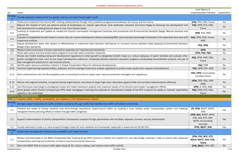|                |                                                                                                                                                                               | Lead Agency &                  |                     |
|----------------|-------------------------------------------------------------------------------------------------------------------------------------------------------------------------------|--------------------------------|---------------------|
| No.            | Action                                                                                                                                                                        | <b>Implementation Partners</b> | <b>Capital Item</b> |
| Strategy       | Provide adequate treatment for the quality, volume, and rate of stormwater runoff.                                                                                            |                                |                     |
| 3              |                                                                                                                                                                               |                                |                     |
| 3.1            | Continue to implement the County WIP, working collaboratively through inter-jurisdictional agreements between the County and the Towns.                                       | DPW, PNZ, COG, Towns           | No                  |
| 3.2            | Balance the impacts of land use patterns across all landscapes (i.e. natural, agricultural, rural residential, suburban and town/village) by directing new development and    | PNZ, DPW, ETD, COG,            |                     |
|                | infill development to existing Growth Areas or new Town Growth Areas.                                                                                                         | Towns                          | No                  |
| 3.3            | Continue to implement and update as needed the County's stormwater management practices and procedures and Environmental Sensitive Design Manual practices and<br>procedures. | DPW, PNZ, MDE                  | No                  |
|                | Evaluate all designated Growth Areas to ensure they can receive development without exceeding MDE recommended percentage thresholds of the watershed land area with           | PNZ, DPW, COG, Towns,          |                     |
| 3.4            | impervious surfaces.                                                                                                                                                          | <b>MDE</b>                     | No                  |
|                | Assess development plans with respect to effectiveness to implement load reduction alternatives on non-point source pollutant loads applying Environmental Sensitive          |                                |                     |
| 3.5            | Design (ESD) standards.                                                                                                                                                       | PNZ, DPW                       | No                  |
| 3.6            | Measure post-construction tributary assimilative capacities for impacted sub-watersheds.                                                                                      | <b>DPW</b>                     | No                  |
| 3.7            | Utilize open space and land preservation programs to provide water protection measures.                                                                                       | DPW, PNZ, P&R                  | No                  |
|                | Review and modify existing zoning and development regulations to direct growth to designated Growth Areas (i.e.: ensure adequacy of public facilities and evaluate other      |                                |                     |
| 3.8            | growth management tools, such as low impact development ordinance, household pollution reduction education programs, landscaping demonstration projects, and use of           | PNZ, DPW, P&R, COG,            | <b>No</b>           |
|                | best management practices for road reconstructions).                                                                                                                          | Towns                          |                     |
| 3.9            | Identify water resource protection criterion in Forest Conservation Plans for individual developments.                                                                        | PNZ, DNR                       | No                  |
| 3.10           | Continue implementing required buffers, setbacks, and lot coverage/impervious surface regulations to protect water quality from impacts of development.                       | PNZ, DPW, CAC, MDE             | No                  |
|                |                                                                                                                                                                               |                                |                     |
| 3.11           | Work collaboratively with the Municipalities and surrounding Counties to adopt water resource protection strategies and regulations.                                          | PNZ, DPW, Surrounding          | No                  |
|                |                                                                                                                                                                               | Counties, Towns                |                     |
|                |                                                                                                                                                                               | DPW, SCD, COG, DNR,            |                     |
| 3.12           | Partner with regional localities, non-governmental organizations, and others to target high value restoration opportunities and increase implementation efficiency.           | <b>USRC</b>                    | <b>No</b>           |
| 3.13           | Use information technology to strategically locate and install restoration projects that maximize results of the County's stormwater management efforts.                      | DPW, IT, SCD, MDE              | Yes                 |
|                | Direct growth within Priority Funding Areas (PFA) while managing or reducing the potential for development outside of the PFA to assure the ability to maintain assimilative  | PNZ, DPW, ETD, COG,            |                     |
| 3.14           | capacity in the watershed.                                                                                                                                                    | Towns                          | <b>No</b>           |
|                | <b>CHAPTER 6-TRANSPORTATION</b>                                                                                                                                               |                                |                     |
|                | GOAL 6-1: Improve safety, mobility, accessibility, and resiliency in the transportation network.                                                                              |                                |                     |
|                |                                                                                                                                                                               |                                |                     |
| Strategy       | Strongly support resolutions to traffic problems caused by through traffic that impedes local traffic and citizen movements.                                                  |                                |                     |
| 1.1            | Prioritize the needs of County residents over drive-through populations (beach-bound traffic) by creating a more reliable public transportation system and initiating         | CR, DPW, MDOT, MDTA,           | Yes                 |
|                | intergovernmental planning efforts to relieve through-traffic congestion.                                                                                                     | <b>SHA</b>                     |                     |
|                |                                                                                                                                                                               | DPW, BCC, MDOT, BPAC,          |                     |
|                |                                                                                                                                                                               | COG, AAA, ETD, SHA,            |                     |
| 1.2            | Support implementation of priority transportation improvement projects through partnerships with the State, adjacent counties, and key stakeholders.                          | MDTA, Surrounding              | Yes                 |
|                |                                                                                                                                                                               | Counties                       |                     |
| 1.3            | Provide alternative routes (i.e. local access/frontage roads) for local residents and businesses, especially in areas around US 50/301.                                       | DPW, MDOT, SHA                 | Yes                 |
| Strategy       |                                                                                                                                                                               |                                |                     |
| $\overline{2}$ | Create safe and adequate infrastructure available to all modes of travel.                                                                                                     |                                |                     |
|                |                                                                                                                                                                               | DPW, PNZ, BCC, ETD,            |                     |
| 2.1            | Monitor and participate in the MDTA Chesapeake Bay Crossing Study NEPA process to identify the location of a new Bay Bridge crossing in order to ensure safe, adequate        | MDTA, MDOT, SHA, COG,          | No                  |
|                | transportation planning and protection of historic and environmental resources.                                                                                               | <b>Towns</b>                   |                     |
| $2.2^{\circ}$  | Work with MDOT SHA to remove traffic lights along US 50, reduce crashes, and improve local traffic mobility.                                                                  | DPW, MDOT, SHA, DES            | No                  |
|                |                                                                                                                                                                               |                                |                     |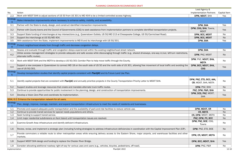|               | Lead Agency &                  |              |
|---------------|--------------------------------|--------------|
|               | <b>Implementation Partners</b> | Capital Item |
|               | DPW, MDOT, SHA                 | Yes          |
|               |                                |              |
|               |                                |              |
|               | DPW, SHA                       | Yes          |
|               | DPW, COG, SHA, Towns,          |              |
| ś.            | <b>MDOT</b>                    | Yes          |
|               | DPW, BCC, MDOT                 | <b>No</b>    |
|               | DPW, BCC, MDOT                 | <b>No</b>    |
|               | DPW, SHA                       | Yes          |
|               |                                |              |
|               |                                |              |
|               | DPW, SHA                       | No           |
| restrictions, |                                |              |
|               | DPW, PNZ, MDOT                 | No           |
|               | DPW, PNZ, MDOT, SHA,           |              |
|               | <b>MDTA</b>                    | No           |
| avoiding the  | DPW, BCC, MDOT, SHA,           |              |
|               | <b>COG</b>                     | Yes          |
|               |                                |              |
|               |                                |              |
|               |                                |              |
|               | DPW, PNZ, ETD, BCC, AAA,       | No           |
|               | CR, MDOT, SHA, MDTA            |              |
|               | DPW, PNZ, SHA                  | <b>No</b>    |
|               | PNZ, DPW, P&R, SHA             | No           |
|               | DPW, DES, PNZ, MDOT,           | Yes          |
|               | <b>SHA</b>                     |              |
|               |                                |              |
|               |                                |              |
|               |                                |              |
|               | DPW, MDOT, CR                  | No           |
|               | CR, MDTA                       | <b>No</b>    |
|               | CR, DPW, MDOT, MDTA            | No           |
|               | PNZ, DPW, PC, BCC              | <b>No</b>    |
|               | DPW, PNZ, BOE, COG,            |              |
|               | <b>Towns</b>                   | <b>No</b>    |
|               |                                |              |
| Plan (CIP).   | DPW, PNZ, ETD, BOE             | No           |
| s and other   |                                |              |
|               | DPW, CR, MDOT, MDTA            | No           |
|               |                                |              |
|               | DPW, BCC, MDOT, SHA            | Yes          |
|               | DPW, PNZ, P&R                  | No           |
|               |                                |              |

| No.                  | Action                                                                                                                                                                                                     | <b>Implementation Partners</b>                  | Capital |
|----------------------|------------------------------------------------------------------------------------------------------------------------------------------------------------------------------------------------------------|-------------------------------------------------|---------|
| 2.3                  | Work with MDOT SHA to adjust sections of US 50 from US 301 to MD 404 to be a limited controlled access highway.                                                                                            | DPW, MDOT, SHA                                  | Yes     |
| <b>Strategy</b><br>3 | Make intersection improvements where necessary to enhance safety, mobility, and accessibility.                                                                                                             |                                                 |         |
| 3.1                  | Partner with the State to study, design, and construct identified intersection improvements.                                                                                                               | DPW, SHA                                        | Yes     |
| 3.2                  | Partner with County towns and the Council of Governments (COG) to seek assistance from implementation partners to complete identified transportation projects.                                             | DPW, COG, SHA, Towns,<br><b>MDOT</b>            | Yes     |
| 3.3                  | Support State funding of interchanges at key intersections (e.g., Queenstown Outlets, US 50/MD 213 at Chesapeake College, US 50/Carmichael Road).                                                          | DPW, BCC, MDOT                                  | No      |
| 3.4                  | Support the interchange at US 50/MD 404.                                                                                                                                                                   | DPW, BCC, MDOT                                  | No      |
| 3.5                  | With assistance from the State, implement improvements to MD 8 and its interchange with US 50/301.                                                                                                         | DPW, SHA                                        | Yes     |
| <b>Strategy</b><br>4 | Protect neighborhood streets from through traffic and decrease congestion delays.                                                                                                                          |                                                 |         |
| 4.1                  | Assess and evaluate through traffic and congestion delays experienced within the existing neighborhood street network.                                                                                     | DPW, SHA                                        | No      |
| 4.2                  | Utilize access management strategies to provide adequate and safe access while discouraging through traffic (e.g., shared driveways, one-way in/out, left-turn restrictions,<br>alternate traffic routes). | DPW, PNZ, MDOT                                  | No      |
| 4.3                  | Work with MDOT SHA and the MDTA to develop a US 50/301 Corridor Plan to help move traffic through the County.                                                                                              | DPW, PNZ, MDOT, SHA,<br><b>MDTA</b>             | No      |
| 4.4                  | Support a new overpass in Queenstown to connect MD 18 on the south side of US 50 and the north side of US 301, allowing free movement of local traffic and avoiding the<br>use of US 50/301.               | DPW, BCC, MDOT, SHA,<br><b>COG</b>              | Yes     |
| <b>Strategy</b><br>5 | Develop transportation studies that identify capital projects consistent with PlanQAC and its Future Land Use Plan.                                                                                        |                                                 |         |
| 5.1                  | Identify capital projects that are consistent with PlanQAC and annually prioritize projects in the County Transportation Priority Letter to MDOT SHA.                                                      | DPW, PNZ, ETD, BCC, AAA,<br>CR, MDOT, SHA, MDTA | No      |
| 5.2                  | Support studies and leverage resources that create and mandate alternate truck traffic routes.                                                                                                             | DPW, PNZ, SHA                                   | No      |
| 5.3                  | Continue to provide opportunities for public involvement in the planning, design, and construction of transportation improvements.                                                                         | PNZ, DPW, P&R, SHA                              | No      |
| 5.4                  | Develop a Vision Zero Plan and coordinate its implementation.                                                                                                                                              | DPW, DES, PNZ, MDOT,<br><b>SHA</b>              | Yes     |
|                      | GOAL 6-2: Enhance the transportation network for all users.                                                                                                                                                |                                                 |         |
| <b>Strategy</b>      | Plan, design, improve, manage, maintain, and expand transportation infrastructure to meet the needs of residents and businesses.                                                                           |                                                 |         |
| 1.1                  | Promote and expand adequate public transportation and the availability of park-and-ride facilities to reduce vehicle use.                                                                                  | DPW, MDOT, CR                                   | No      |
| 1.2                  | Continue to provide transit services for special needs populations and others.                                                                                                                             | CR, MDTA                                        | No      |
| 1.3                  | Seek funding to support transit service.                                                                                                                                                                   | CR, DPW, MDOT, MDTA                             | No      |
| 1.4                  | Limit major residential subdivisions on Kent Island until transportation issues are resolved.                                                                                                              | PNZ, DPW, PC, BCC                               | No      |
| $1.5\,$              | Examine Growth Area infrastructure and identify deficient infrastructure.                                                                                                                                  | DPW, PNZ, BOE, COG,<br>Towns                    | No      |
| 1.6                  | Review, revise, and implement a strategic plan (including funding strategies) to address infrastructure deficiencies in coordination with the Capital Improvement Plan (CIP).                              | DPW, PNZ, ETD, BOE                              | No      |
| 1.7                  | Provide commuters a reliable route to other metropolitan areas while ensuring delivery access to the Eastern Shore, major airports, and warehouse facilities and other<br>markets.                         | DPW, CR, MDOT, MDTA                             | No      |
| 1.8                  | Support MDOT SHA design and funding to replace the Chester River Bridge.                                                                                                                                   | DPW, BCC, MDOT, SHA                             | Yes     |
| 1.9                  | Consider allocating additional roadway right-of-way for various uses and users (e.g., vehicles, bicycles, pedestrians, off-road).                                                                          | DPW, PNZ, P&R                                   | No      |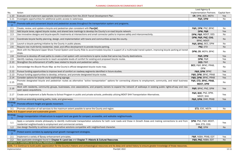|                                   |                                                                                                                                                                                        | Lead Agency &                      |              |
|-----------------------------------|----------------------------------------------------------------------------------------------------------------------------------------------------------------------------------------|------------------------------------|--------------|
| No.                               | Action                                                                                                                                                                                 | <b>Implementation Partners</b>     | Capital Item |
| 1.10                              | Evaluate and implement appropriate recommendations from the 2019 Transit Development Plan.                                                                                             | CR, DPW, BCC, MDTA                 | <b>Yes</b>   |
| 1.11                              | Investigate opportunities for additional public access to waterways.                                                                                                                   | P&R, DPW                           | No           |
| <b>Strategy</b><br>$\overline{2}$ | Promote safe and convenient bicycle and pedestrian access throughout the transportation system and programs.                                                                           |                                    |              |
| 2.1                               | Create, review, and update a bicycle and pedestrian plan consistent with PlanQAC.                                                                                                      | P&R, DPW, PNZ, BPAC                | No           |
| 2.2                               | Add bicycle lanes, signed bicycle routes, and shared lane markings to develop the County's on-road bicycle network.                                                                    | DPW, P&R                           | Yes          |
| 2.3                               | Use innovative designs and bicycle-specific treatments at intersections and small connector paths to improve safety and interconnectivity.                                             | DPW, P&R, MDOT, DES                | No           |
| 2.4                               | Coordinate bicycle facility planning, design, and implementation with towns and communities across the county.                                                                         | DPW, P&R, PNZ, COG,<br>BPAC, MDOT  | <b>No</b>    |
| 2.5                               | Launch a bicycle parking initiative by the County in public places.                                                                                                                    | P&R, BPAC, BCC, DPW                | No           |
| 2.6                               | Require new multi-family residential, retail, and office development to provide bicycle parking.                                                                                       | PNZ, ETD                           | <b>No</b>    |
| 2.7                               | Work with the Maryland Upper Shore Transit System and County Ride to accommodate bicycles in support of a multimodal transit system, improving bicycle parking at transit<br>stops.    | DPW, CR, MDTA, BPAC                | No           |
| 2.8                               | Continue to develop off-road paths to create a trail system with connections to spine routes that serve key County destinations.                                                       | P&R, DPW                           | Yes          |
| 2.9                               | Identify roadway improvements to reach acceptable levels of comfort for existing and proposed bicycle routes.                                                                          | DPW, P&R                           | Yes          |
| 2.10                              | Strengthen the enforcement of traffic laws related to bicycle and pedestrian safety.                                                                                                   | <b>DES, P&amp;R</b>                | <b>No</b>    |
|                                   |                                                                                                                                                                                        | BCC, P&R, BPAC, PRAB,              |              |
| 2.11                              | Acknowledge the Bicycle Route Map as the County's official designated bicycle route map.                                                                                               | <b>DPW</b>                         | No           |
| 2.12                              | Pursue funding opportunities to improve level of comfort on roadway segments identified in future studies.                                                                             | P&R, DPW, BPAC                     | Yes          |
| 2.13                              | Pursue funding opportunities to develop, enhance, and promote designated bicycle routes.                                                                                               | P&R, DPW, BPAC, PRAB               | Yes          |
| 2.14                              | Consider options for bicycle route wayfinding signage.                                                                                                                                 | P&R, DPW, BPAC, PRAB               | Yes          |
| 2.15                              | Promote designated bicycle and pedestrian routes as alternative "active transportation" options for connecting citizens to employment, community, and retail business<br>areas.        | P&R, ETD, BPAC, PRAB,<br>MDOT, DPW | No           |
|                                   | Work with residents, community groups, businesses, civic associations, and property owners to expand the network of walkways in existing public rights-of-way and new                  |                                    |              |
| 2.16                              | open space acquisitions.                                                                                                                                                               | P&R, BPAC, PNZ, DPW                | Yes          |
|                                   | 2.17   Create and implement a Safe Routes to School Program in public and private schools, preferably utilizing MDOT SHA Transportation Alternatives.                                  | P&R, BOE, PNZ, DPW,<br>MDOT, SHA   | Yes          |
| 2.18                              | Continue extending existing paths, trails, and greenways.                                                                                                                              | P&R, DPW, DNR, PRAB                | Yes          |
| <b>Strategy</b><br>3              | Promote efficient freight and goods movement.                                                                                                                                          |                                    |              |
| 3.1                               | Promote utilization of rail services to the maximum extent possible to serve the County and region.                                                                                    | ETD, EDC, MDTA                     | No           |
|                                   | GOAL 6-3: Support smart and sustainable growth.                                                                                                                                        |                                    |              |
| <b>Strategy</b>                   | Design transportation infrastructure to support land use goals for compact, accessible, and walkable neighborhoods.                                                                    |                                    |              |
|                                   | Apply a complete streets philosophy to identify multimodal transportation solutions for both rural roads and those in Growth Areas and making connections to and from                  | DPW, PNZ, P&R, MDOT,               |              |
| 1.1                               | residential neighborhoods to employment and commercial centers.                                                                                                                        | SHA, ETD, COG                      | Yes          |
| 1.2                               | Use design flexibility to achieve context sensitive solutions compatible with neighborhood character.                                                                                  | PNZ, DPW                           | <b>No</b>    |
| <b>Strategy</b><br>$\overline{2}$ | Protect scenic corridors by applying smart growth management strategies.                                                                                                               |                                    |              |
| 2.1                               | Implement a variety of Byway enhancement principles.                                                                                                                                   | P&R, NSBA, PRAB, EDT               | Yes          |
| 2.2                               | See applicable strategies found in Chapter 4-Land Use and Chapter 7-Historic & Cultural Resources.                                                                                     | P&R, PNZ, NSBA, EDT                | <b>No</b>    |
|                                   | <b>CHAPTER 7-HISTORIC &amp; CULTURAL RESOURCES</b>                                                                                                                                     |                                    |              |
|                                   | GOAL 7-1: Continue to build public appreciation for the County's historic and archaeological resources and its deep and varied history to ensure greater knowledge of those resources. |                                    |              |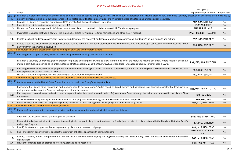|                                                        | Lead Agency &                       |              |  |  |
|--------------------------------------------------------|-------------------------------------|--------------|--|--|
|                                                        | <b>Implementation Partners</b>      | Capital Item |  |  |
| e voluntary preservation and reuse of old buildings by |                                     |              |  |  |
|                                                        | PNZ, BCC, MHT, P&R                  | No           |  |  |
|                                                        | PNZ, P&R, MHT                       | <b>No</b>    |  |  |
|                                                        | PNZ, IT, P&R, MHT                   | No           |  |  |
|                                                        | PNZ, HSC, P&R, PRAB, MHT            | <b>No</b>    |  |  |
|                                                        | PNZ, HSC, P&R, MHT                  | No           |  |  |
| ming 250th                                             | P&R, HSC, PNZ, MHT                  | <b>No</b>    |  |  |
|                                                        |                                     |              |  |  |
|                                                        |                                     |              |  |  |
| e, designate                                           | PNZ, ETD, P&R, MHT, SHA             | <b>No</b>    |  |  |
| h would also                                           | P&R, HSC, PNZ, MHT                  | <b>No</b>    |  |  |
|                                                        | HSC, P&R, MHT, ETD                  | <b>No</b>    |  |  |
|                                                        |                                     |              |  |  |
|                                                        |                                     |              |  |  |
| ad users to                                            | PNZ, HSC, P&R, ETD, TTAC            | No           |  |  |
| listoric Sites                                         | HSC, P&R, BOE                       | No.          |  |  |
|                                                        | P&R, HSC, ETD                       | No           |  |  |
|                                                        | P&R, ETD, BPAC, PRAB                | <b>No</b>    |  |  |
|                                                        |                                     |              |  |  |
|                                                        |                                     |              |  |  |
|                                                        | P&R, PNZ, IT, MHT, HSC              | <b>No</b>    |  |  |
| orical Trust's                                         | P&R, PNZ, MHT, HSC                  | <b>No</b>    |  |  |
|                                                        | P&R, MHT, HSC, PRAB                 | No           |  |  |
|                                                        | P&R, ETD, TTAC, PRAB,<br><b>HSC</b> | <b>No</b>    |  |  |
| preservation                                           | P&R, MHT, HSC, PRAB                 | No           |  |  |
|                                                        | P&R, PNZ, MHT, PRAB                 | <b>No</b>    |  |  |

| No.             | Action                                                                                                                                                                                                                                                                                                                                    | Implementation Partners             | Capital Item |
|-----------------|-------------------------------------------------------------------------------------------------------------------------------------------------------------------------------------------------------------------------------------------------------------------------------------------------------------------------------------------|-------------------------------------|--------------|
| <b>Strategy</b> | Establish a Historic Preservation Commission to pursue a range of actions and programs that will build public appreciation for historic preservation, encourage voluntary preservation and reuse of old buildings by                                                                                                                      |                                     |              |
|                 | property owners, develop local public resources to be directed toward historic preservation, and minimize the loss of historic and archaeological resources.                                                                                                                                                                              |                                     |              |
| 1.1             | Establish a Historic Preservation Commission (HPC) per Title 8 of the Maryland Land Use Article.                                                                                                                                                                                                                                          | PNZ, BCC, MHT, P&R                  | No           |
| 1.2             | Investigate possible funding mechanisms for the HPC.                                                                                                                                                                                                                                                                                      | PNZ, P&R, MHT                       | <b>No</b>    |
| 1.3             | Update the County's surveys and its GIS-based inventory of historic properties in collaboration with MHT's Medusa program.                                                                                                                                                                                                                | PNZ, IT, P&R, MHT                   | No           |
| 1.4             | Investigate resources that would allow for the matching of grants for National Register nominations and other history research.                                                                                                                                                                                                           | PNZ, HSC, P&R, PRAB, MHT            | <b>No</b>    |
| 1.5             | Initiate a cultural landscape assessment to define and document the historical landscapes, viewsheds, resources, and the County's unique heritage and culture.                                                                                                                                                                            | PNZ, HSC, P&R, MHT                  | No           |
| 1.6             | Initiate a qualified history-book project (an illustrated volume about the County's historic resources, communities, and landscapes) in connection with the upcoming 250th<br>anniversary of the American Revolution.                                                                                                                     | P&R, HSC, PNZ, MHT                  | No           |
|                 | GOAL 7-2: Encourage voluntary preservation actions on the part of private and nonprofit owners.                                                                                                                                                                                                                                           |                                     |              |
| <b>Strategy</b> | Encourage and support property owners in maintaining and rehabilitating their historic structures.                                                                                                                                                                                                                                        |                                     |              |
| 1.1             | Establish a voluntary County designation program for private and nonprofit owners to allow them to qualify for the Maryland historic tax credit. Where feasible, designate<br>multiple contiguous properties as voluntary historic districts, especially along the County's All American Road (Chesapeake Country National Scenic Byway). | PNZ, ETD, P&R, MHT, SHA             | No           |
| 1.2             | Encourage owners of eligible historic properties and communities with eligible historic districts to pursue listings in the National Register of Historic Places, which would also<br>quality properties to seek historic tax credits.                                                                                                    | P&R, HSC, PNZ, MHT                  | <b>No</b>    |
| 1.3             | Develop a brochure for property owners explaining tax credits for historic preservation.                                                                                                                                                                                                                                                  | HSC, P&R, MHT, ETD                  | No           |
|                 | GOAL 7-3: Add more local public resources to the tasks of preserving and maintaining publicly accessible sites.                                                                                                                                                                                                                           |                                     |              |
| Strategy /      | Continue to support the Historic Sites Consortium and its role in the County's heritage tourism.                                                                                                                                                                                                                                          |                                     |              |
| 1.1             | Encourage the Historic Sites Consortium and member sites to develop touring guides based on broad themes and categories (e.g., farming, schools) that lead users to<br>multiple sites and explain the County's heritage and cultural landscapes.                                                                                          | PNZ, HSC, P&R, ETD, TTAC            | No           |
| 1.2             | Encourage and research ways to develop relationships with schools to provide an education of Queen Anne's County through the visitation of sites within the Historic Sites<br> Consortium.                                                                                                                                                | HSC, P&R, BOE                       | <b>No</b>    |
| 1.3             | Assist with researching funding opportunities for capital and program-development grants for historic sites open to the public.                                                                                                                                                                                                           | P&R, HSC, ETD                       | <b>No</b>    |
| 1.4             | Research ways to establish a County-led wayfinding system or "cultural heritage trail" with signage and other wayfinding media.                                                                                                                                                                                                           | P&R, ETD, BPAC, PRAB                | <b>No</b>    |
|                 | GOAL 7-4: Minimize the loss of historic and archeological sites.                                                                                                                                                                                                                                                                          |                                     |              |
| <b>Strategy</b> | Enhance County information maintained on sites, landmarks, cemeteries, archaeological sites, and scenic byways.                                                                                                                                                                                                                           |                                     |              |
| 1.1             | Seek MHT technical advice and grant support for this work.                                                                                                                                                                                                                                                                                | P&R, PNZ, IT, MHT, HSC              | No           |
| 1.2             | Research funding opportunities to document archeological sites, particularly those threatened by flooding and erosion, in collaboration with the Maryland Historical Trust's<br>Archeology Program.                                                                                                                                       | P&R, PNZ, MHT, HSC                  | No           |
| 1.3             | Identify locations and opportunities for implementing historic site markers or signage.                                                                                                                                                                                                                                                   | P&R, MHT, HSC, PRAB                 | No           |
| 1.4             | Seek and identify opportunities to support the promotion of historic sites through heritage tourism.                                                                                                                                                                                                                                      | P&R, ETD, TTAC, PRAB,<br><b>HSC</b> | No           |
| 1.5             | Identify, preserve, protect, and promote the County's historic and cultural heritage by working collaboratively with State, County, Town, and historic and cultural preservation<br>organizations.                                                                                                                                        | P&R, MHT, HSC, PRAB                 | No           |
| 1.6             | Revisit the effort to pass an ordinance protecting archaeological resources.                                                                                                                                                                                                                                                              | P&R, PNZ, MHT, PRAB                 | No           |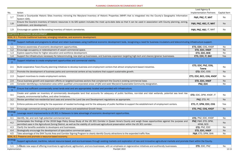| No.                               | Action                                                                                                                                                                                                                                                                                                              | <b>Implementation Partners</b>      | Capital   |
|-----------------------------------|---------------------------------------------------------------------------------------------------------------------------------------------------------------------------------------------------------------------------------------------------------------------------------------------------------------------|-------------------------------------|-----------|
| 1.7                               | Create a Countywide Historic Sites Inventory mirroring the Maryland Inventory of Historic Properties (MIHP) that is integrated into the County's Geographic Information<br>System (GIS).                                                                                                                            | P&R, PNZ, IT, MHT                   | No        |
| 1.8                               | Ensure the County's inventory of historic resources in its GIS system includes the most up-to-date data so that it can be used in association with County planning, zoning,<br>subdivision, and development.                                                                                                        | P&R, PNZ, HSC, IT, MHT              | <b>No</b> |
| 1.9                               | Encourage an update to the existing inventory of historic cemeteries.                                                                                                                                                                                                                                               | P&R, PNZ, HSC, IT, MHT              | No        |
|                                   | <b>CHAPTER 8-ECONOMIC DEVELOPMENT</b>                                                                                                                                                                                                                                                                               |                                     |           |
|                                   | GOAL 8-1: Promote traditional business, emerging industries, and economic development.                                                                                                                                                                                                                              |                                     |           |
| <b>Strategy</b>                   | Support methods and programs to attract and retain businesses using traditional economic development tools, recognizing a need for business incubators and telecommuting infrastructure support.                                                                                                                    |                                     |           |
| 1.1                               | Enhance awareness of economic development opportunities.                                                                                                                                                                                                                                                            | ETD, EDC, COG, KNDF                 | No        |
| 1.2                               | Encourage occupancy or redevelopment of vacant commercial space.                                                                                                                                                                                                                                                    | ETD, EDC, KNDF                      | No        |
| 1.3                               | Explore opportunities for higher education and workforce development.                                                                                                                                                                                                                                               | ETD, EDC, BOE                       | No        |
| 1.4                               | Support the infrastructure necessary for telecommuting, new start-up businesses, and business expansion targeting high-tech and cleaner/greener businesses.                                                                                                                                                         | ETD, EDC, IT, BAC                   | Yes       |
| <b>Strategy</b><br>$\overline{2}$ | Support initiatives to create employment opportunities and commercial viability.                                                                                                                                                                                                                                    |                                     |           |
| 2.1                               | Build cooperative Town/County planning initiatives to develop business and employment centers that attract employment-based industries.                                                                                                                                                                             | ETD, EDC, PNZ, COG,<br><b>Towns</b> | No        |
| 2.2                               | Promote the development of business parks and commercial centers at key locations that support sustainable growth.                                                                                                                                                                                                  | ETD, EDC, COG                       | No        |
| 2.3                               | Support incentives to create employment centers.                                                                                                                                                                                                                                                                    | ETD, EDC, BCC, COG, KNDF            | No        |
| 2.4                               | Focus business growth and expansion efforts on targeted business sectors that complement the County's existing commercial base.                                                                                                                                                                                     | ETD, EDC, KNDF                      | No        |
| 2.5                               | Consider identifying a revitalization area within qualified unincorporated areas of QAC and seek Maryland Sustainable Community designation.                                                                                                                                                                        | PNZ, EDC                            | No        |
| <b>Strategy</b><br>3              | Ensure that sufficient commercially zoned lands exist and are appropriately located and provided with infrastructure.                                                                                                                                                                                               |                                     |           |
| 3.1                               | Create and update an inventory of commercially developable land that accounts for adequacy of public facilities, non-tidal and tidal wetlands, potential sea level rise<br>impacts, environmental buffers, and other limitations.                                                                                   | ETD, EDC, DPW, KNDF, IT             | No        |
| 3.2                               | Review permitted non-residential land uses and amend the Land Use and Development regulations as appropriate.                                                                                                                                                                                                       | PNZ, ETD, PC                        | No        |
| 3.3                               | Enforce policies and funding for the expansion of needed technology and for the adequacy of public facilities to support the establishment of employment centers.                                                                                                                                                   | ETD, IT, DPW, EDC, COG              | Yes       |
| 3.4                               | Encourage commercial zoning around and within towns and established Growth Areas.                                                                                                                                                                                                                                   | ETD, PNZ, COG, KNDF                 | No        |
| <b>Strategy</b><br>4              | Leverage recent improvements to US 301 in Delaware to take advantage of economic development opportunities.                                                                                                                                                                                                         |                                     |           |
| 4.1                               | Identify, list, and rank high potential commercial land.                                                                                                                                                                                                                                                            | ETD, PNZ, EDC, KNDF                 | No        |
| 4.2                               | Contemplate the findings of the 2018 Sage Policy Group Study of the US 301 Corridor in Queen Anne's County and weigh those opportunities against the purpose and<br>permitted uses in the Agricultural Zoning District, as well as the viability of continued agricultural preservation within the US 301 corridor. | PNZ, P&R, ETD, DPW,<br>APAB, SCD    | <b>No</b> |
| 4.3                               | Clarify the benefits available to developers and businesses.                                                                                                                                                                                                                                                        | ETD, PNZ, EDC                       | No        |
| 4.4                               | Strategically encourage the development of speculative commercial space.                                                                                                                                                                                                                                            | ETD, EDC, KNDF                      | <b>No</b> |
| 4.5                               | Take advantage of the SHA Tourist Area and Corridor Signing Program to clearly identify County attractions to the expanded traffic flow.                                                                                                                                                                            | P&R, ETD, DPW, SHA                  | No        |
|                                   | GOAL 8-2: Preserve and promote a resource-based economy.                                                                                                                                                                                                                                                            |                                     |           |
| <b>Strategy</b>                   | Support agricultural, maritime, natural resource-based, and eco-businesses through existing markets and exploration of new and innovative agricultural markets and promote them within the County.                                                                                                                  |                                     |           |
| 1.1                               | $ 1$ . Create new ways of offering incentives to agricultural, agritourism, and eco-businesses, with an emphasis on regenerative initiatives and ecofriendly businesses.                                                                                                                                            | ETD, EDC, PNZ                       | No        |

|                                   |                                                                                                                                                                                                                                                                                                                     | Lead Agency &                       |                     |
|-----------------------------------|---------------------------------------------------------------------------------------------------------------------------------------------------------------------------------------------------------------------------------------------------------------------------------------------------------------------|-------------------------------------|---------------------|
| No.                               | Action                                                                                                                                                                                                                                                                                                              | <b>Implementation Partners</b>      | <b>Capital Item</b> |
| 1.7                               | Create a Countywide Historic Sites Inventory mirroring the Maryland Inventory of Historic Properties (MIHP) that is integrated into the County's Geographic Information<br>System (GIS).                                                                                                                            | P&R, PNZ, IT, MHT                   | No                  |
| 1.8                               | Ensure the County's inventory of historic resources in its GIS system includes the most up-to-date data so that it can be used in association with County planning, zoning,<br>subdivision, and development.                                                                                                        | P&R, PNZ, HSC, IT, MHT              | <b>No</b>           |
| 1.9                               | Encourage an update to the existing inventory of historic cemeteries.                                                                                                                                                                                                                                               | P&R, PNZ, HSC, IT, MHT              | No                  |
|                                   | CHAPTER 8-ECONOMIC DEVELOPMENT                                                                                                                                                                                                                                                                                      |                                     |                     |
|                                   | GOAL 8-1: Promote traditional business, emerging industries, and economic development.                                                                                                                                                                                                                              |                                     |                     |
| <b>Strategy</b>                   | Support methods and programs to attract and retain businesses using traditional economic development tools, recognizing a need for business incubators and telecommuting infrastructure support.                                                                                                                    |                                     |                     |
| 1.1                               | Enhance awareness of economic development opportunities.                                                                                                                                                                                                                                                            | ETD, EDC, COG, KNDF                 | No                  |
| 1.2                               | Encourage occupancy or redevelopment of vacant commercial space.                                                                                                                                                                                                                                                    | ETD, EDC, KNDF                      | <b>No</b>           |
| 1.3                               | Explore opportunities for higher education and workforce development.                                                                                                                                                                                                                                               | ETD, EDC, BOE                       | No                  |
| 1.4                               | Support the infrastructure necessary for telecommuting, new start-up businesses, and business expansion targeting high-tech and cleaner/greener businesses.                                                                                                                                                         | ETD, EDC, IT, BAC                   | Yes                 |
| <b>Strategy</b><br>$\overline{2}$ | Support initiatives to create employment opportunities and commercial viability.                                                                                                                                                                                                                                    |                                     |                     |
| 2.1                               | Build cooperative Town/County planning initiatives to develop business and employment centers that attract employment-based industries.                                                                                                                                                                             | ETD, EDC, PNZ, COG,<br><b>Towns</b> | No                  |
| 2.2                               | Promote the development of business parks and commercial centers at key locations that support sustainable growth.                                                                                                                                                                                                  | ETD, EDC, COG                       | <b>No</b>           |
| 2.3                               | Support incentives to create employment centers.                                                                                                                                                                                                                                                                    | ETD, EDC, BCC, COG, KNDF            | No                  |
| 2.4                               | Focus business growth and expansion efforts on targeted business sectors that complement the County's existing commercial base.                                                                                                                                                                                     | ETD, EDC, KNDF                      | <b>No</b>           |
| 2.5                               | Consider identifying a revitalization area within qualified unincorporated areas of QAC and seek Maryland Sustainable Community designation.                                                                                                                                                                        | PNZ, EDC                            | No                  |
| <b>Strategy</b><br>3              | Ensure that sufficient commercially zoned lands exist and are appropriately located and provided with infrastructure.                                                                                                                                                                                               |                                     |                     |
| 3.1                               | Create and update an inventory of commercially developable land that accounts for adequacy of public facilities, non-tidal and tidal wetlands, potential sea level rise<br>impacts, environmental buffers, and other limitations.                                                                                   | ETD, EDC, DPW, KNDF, IT             | No                  |
| 3.2                               | Review permitted non-residential land uses and amend the Land Use and Development regulations as appropriate.                                                                                                                                                                                                       | PNZ, ETD, PC                        | <b>No</b>           |
| 3.3                               | Enforce policies and funding for the expansion of needed technology and for the adequacy of public facilities to support the establishment of employment centers.                                                                                                                                                   | ETD, IT, DPW, EDC, COG              | Yes                 |
| 3.4                               | Encourage commercial zoning around and within towns and established Growth Areas.                                                                                                                                                                                                                                   | ETD, PNZ, COG, KNDF                 | No                  |
| <b>Strategy</b><br>$\overline{4}$ | Leverage recent improvements to US 301 in Delaware to take advantage of economic development opportunities.                                                                                                                                                                                                         |                                     |                     |
| 4.1                               | Identify, list, and rank high potential commercial land.                                                                                                                                                                                                                                                            | ETD, PNZ, EDC, KNDF                 | No                  |
| 4.2                               | Contemplate the findings of the 2018 Sage Policy Group Study of the US 301 Corridor in Queen Anne's County and weigh those opportunities against the purpose and<br>permitted uses in the Agricultural Zoning District, as well as the viability of continued agricultural preservation within the US 301 corridor. | PNZ, P&R, ETD, DPW,<br>APAB, SCD    | No                  |
| 4.3                               | Clarify the benefits available to developers and businesses.                                                                                                                                                                                                                                                        | ETD, PNZ, EDC                       | No                  |
| 4.4                               | Strategically encourage the development of speculative commercial space.                                                                                                                                                                                                                                            | ETD, EDC, KNDF                      | No.                 |
| 4.5                               | Take advantage of the SHA Tourist Area and Corridor Signing Program to clearly identify County attractions to the expanded traffic flow.                                                                                                                                                                            | P&R, ETD, DPW, SHA                  | No                  |
|                                   | GOAL 8-2: Preserve and promote a resource-based economy.                                                                                                                                                                                                                                                            |                                     |                     |
| <b>Strategy</b>                   | Support agricultural, maritime, natural resource-based, and eco-businesses through existing markets and exploration of new and innovative agricultural markets and promote them within the County.                                                                                                                  |                                     |                     |
| 1.1                               | $\vert$ 1. Create new ways of offering incentives to agricultural, agritourism, and eco-businesses, with an emphasis on regenerative initiatives and ecofriendly businesses.                                                                                                                                        | ETD, EDC, PNZ                       | No                  |
| Implementation                    | PlanQAC 2022                                                                                                                                                                                                                                                                                                        |                                     | $12 - 13$           |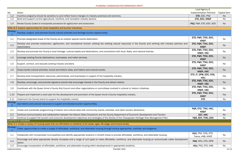| Lead Agency &                            |                |
|------------------------------------------|----------------|
| <b>Implementation Partners</b>           | Capital Item   |
| ETD, EDC, PNZ                            | <b>No</b>      |
|                                          | <b>No</b>      |
| PNZ, P&R, ETD, EDC, SCD                  | <b>No</b>      |
|                                          |                |
|                                          |                |
| ETD, P&R, TTAC, EDC,<br><b>KNDF</b>      | <b>No</b>      |
| ETD, P&R, TTAC, EDC,<br><b>KNDF</b>      | <b>No</b>      |
| ETD, P&R, TTAC, EDC,<br><b>KNDF, HSC</b> | <b>No</b>      |
| ETD, P&R, TTAC, EDC,<br><b>KNDF</b>      | <b>No</b>      |
| ETD, P&R, TTAC, EDC,<br><b>KNDF</b>      | No             |
| ETD, P&R, TTAC, EDC,<br><b>KNDF, HSC</b> | <b>No</b>      |
| ETD, IT, DPW, EDC, COG,<br>HOU           | Yes            |
| ETD, P&R, TTAC, EDC,<br><b>KNDF, HSC</b> | <b>No</b>      |
| ETD, P&R, TTAC, EDC,<br><b>KNDF, HSC</b> | <b>No</b>      |
| ETD, P&R, TTAC, EDC,<br><b>KNDF</b>      | Yes            |
| <b>ETD</b>                               | <b>No</b>      |
|                                          |                |
| P&R, ETD, TTAC, HSC,<br><b>KNDF</b>      | No             |
| EDT, HSC                                 | <b>No</b>      |
| P&R, EDT, TTAC, EDC                      | <b>No</b>      |
|                                          |                |
|                                          |                |
|                                          |                |
| HOU, PNZ, COG, ETD,<br>Towns, HAB, KNDF  | <b>No</b>      |
| PNZ, HOU, ETD, DPW                       | <b>No</b>      |
| HOU, PNZ, ETD, HAB                       | No             |
|                                          | ETD, EDC, KNDF |

| No.                               | Action                                                                                                                                                                               | <b>Implementation Partners</b>          | Capital    |
|-----------------------------------|--------------------------------------------------------------------------------------------------------------------------------------------------------------------------------------|-----------------------------------------|------------|
| 1.2                               | Incentive programs should be sensitive to (and reflect future changes in) industry practices and economy.                                                                            | ETD, EDC, PNZ                           | <b>Nc</b>  |
| 1.3                               | Build and support current agricultural, maritime, and recreation industry sectors.                                                                                                   | ETD, EDC, KNDF                          | N.         |
| 1.4                               | Revise County Codes to incorporate provisions for agritourism and ecotourism.                                                                                                        | PNZ, P&R, ETD, EDC, SCD                 | <b>Nc</b>  |
|                                   | GOAL 8-3: Explore opportunities for niche hospitality and tourism industries.                                                                                                        |                                         |            |
| <b>Strategy</b>                   | Develop, support, and promote County cultural activities and heritage tourism opportunities.                                                                                         |                                         |            |
| 1.1                               | Promote designated areas of the County as an outdoor special events destination.                                                                                                     | ETD, P&R, TTAC, EDC,<br><b>KNDF</b>     | <b>Nc</b>  |
| 1.2                               | Develop and promote ecotourism, agritourism, and recreational tourism utilizing the existing natural resources in the County and working with industry partners and<br>stakeholders. | ETD, P&R, TTAC, EDC,<br><b>KNDF</b>     | <b>Nc</b>  |
| 1.3                               | Develop and promote the County's local heritage, cultural assets and destinations, and connections with local, State, and national themes.                                           | ETD, P&R, TTAC, EDC,<br>KNDF, HSC       | <b>Nc</b>  |
| 1.4                               | Leverage existing County destinations, businesses, and visitor services.                                                                                                             | ETD, P&R, TTAC, EDC,<br><b>KNDF</b>     | <b>Nc</b>  |
| 1.5                               | Support, connect, and educate existing industry providers.                                                                                                                           | ETD, P&R, TTAC, EDC,<br><b>KNDF</b>     | <b>Nc</b>  |
| 1.6                               | Cross-market cultural activities, tourist and historic sites, and historic and cultural events.                                                                                      | ETD, P&R, TTAC, EDC,<br>KNDF, HSC       | <b>Nc</b>  |
| 1.7                               | Develop local transportation resources, partnerships, and businesses in support of the hospitality industry.                                                                         | ETD, IT, DPW, EDC, COG,<br>HOU          | Yes        |
| 1.8                               | Develop, encourage, and promote signature events that encourage interest in the County and attract visitors.                                                                         | ETD, P&R, TTAC, EDC,<br>KNDF, HSC       | <b>Nc</b>  |
| 1.9                               | Coordinate with the Queen Anne's County Arts Council and other organizations or committees involved in cultural or historic initiatives.                                             | ETD, P&R, TTAC, EDC,<br>KNDF, HSC       | <b>Nc</b>  |
| 1.10                              | Prepare and implement a work plan for the development and promotion of the Queen Anne's County hospitality industry.                                                                 | ETD, P&R, TTAC, EDC,<br><b>KNDF</b>     | Yes        |
| 1.11                              | Implement the County brand to support the hospitality market.                                                                                                                        | <b>ETD</b>                              | <b>Nc</b>  |
| <b>Strategy</b><br>$\overline{2}$ | Use historic and cultural resources to support and develop tourism opportunities.                                                                                                    |                                         |            |
| 2.1                               | Create and coordinate programming of historic and cultural sites with community events, activities, and other tourism attractions.                                                   | P&R, ETD, TTAC, HSC,<br><b>KNDF</b>     | <b>Nc</b>  |
| 2.2                               | Continue communication and collaboration between the Historic Sites Consortium and the County Department of Economic Development and Tourism.                                        | EDT, HSC                                | <b>Nc</b>  |
| 2.3                               | Continue to support the tourism and economic development objectives and strategies of the Stories of the Chesapeake Heritage Area Management Plan.                                   | P&R, EDT, TTAC, EDC                     | <b>N</b> c |
|                                   | <b>CHAPTER 9-HOUSING</b>                                                                                                                                                             |                                         |            |
|                                   | GOAL 9-1: Create a variety of housing types that are affordable to residents of all needs, ages, life stage, and income levels.                                                      |                                         |            |
| <b>Strategy</b>                   | Foster opportunities to create a supply of affordable, workforce, and attainable housing through various approaches, methods, and programs.                                          |                                         |            |
| 1.1                               | Collaborate with incorporated municipalities and identify appropriate locations in Growth Areas to provide affordable, workforce, and attainable housing.                            | HOU, PNZ, COG, ETD,<br>Towns, HAB, KNDF | <b>Nc</b>  |
| 1.2                               | Encourage and allow appropriate density increases and a range of unit types to make affordable, workforce, and attainable housing an economically viable development<br>option.      | PNZ, HOU, ETD, DPW                      | Nc         |
| 1.3                               | Encourage incorporation of affordable, workforce, and attainable housing within developments in appropriate locations.                                                               | HOU, PNZ, ETD, HAB                      | <b>N</b>   |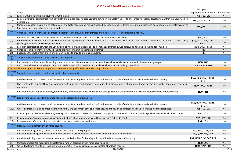|                            |                                                                                                                                                                                                                               | Lead Agency &                       |                     |
|----------------------------|-------------------------------------------------------------------------------------------------------------------------------------------------------------------------------------------------------------------------------|-------------------------------------|---------------------|
| No.                        | Action                                                                                                                                                                                                                        | <b>Implementation Partners</b>      | <b>Capital Item</b> |
| 1.4                        | Explore ways to improve the County's MPDU program.                                                                                                                                                                            | PNZ, HOU, ETD                       | No                  |
| 1.5                        | Explore additional partnerships with non-profit and private housing organizations active on the Eastern Shore to encourage necessary development within the County, when<br>appropriate.                                      | HOU, NGO, ETD, EDC                  | No                  |
| 1.6                        | Conduct a capacity analysis with estimates of available housing and housing needed by Growth Area to determine current supply and demand, where it exists, type(s) of<br>housing needed, and what future needs will be.       | HOU, PNZ, IT                        | N <sub>o</sub>      |
| Strategy<br>$\overline{2}$ | Continue to implement various approaches, methods, and programs that promote affordable, workforce, and attainable housing.                                                                                                   |                                     |                     |
| 2.1                        | Continue to allow accessory apartments in association with single-family lots, as well as commercial apartments.                                                                                                              | PNZ, HOU                            | No                  |
| 2.2                        | Promote infill development and redevelopment activities; where appropriate, encourage the replacement, installation, or upgrade of public infrastructure (e.g., roads, curbs,<br>gutters, public water and sewer, sidewalks). | PNZ, EDT, DPW, COG,<br>Towns        | No                  |
| 2.3                        | Establish partnerships between the County and its incorporated jurisdictions to identify new affordable, workforce, and attainable housing opportunities.                                                                     | HOU, COG, Towns                     | No                  |
| 2.4                        | Continue to implement the County's housing and homeownership assistance programs.                                                                                                                                             | HOU                                 | <b>No</b>           |
| 2.5                        | Encourage the involvement of non-profit organizations to provide affordable housing.                                                                                                                                          | HOU                                 | No                  |
| Strategy<br>3              | Support opportunities for County citizens to age in place.                                                                                                                                                                    |                                     |                     |
| 3.1                        | Provide opportunities to retrofit existing homes with accessible features so seniors and those with disabilities can remain in the community longer.                                                                          | HOU, PNZ                            | No                  |
| 3.2                        | Coordinate with social service providers to expand transportation, medical, and social services access to elderly populations.                                                                                                | DCS, CR, AAA, LMB                   | N <sub>o</sub>      |
|                            | GOAL 9-2: Promote opportunities and programs to increase housing affordability for all County citizens.                                                                                                                       |                                     |                     |
| <b>Strategy</b>            | Support programs to increase the availability of affordable units.                                                                                                                                                            |                                     |                     |
| $1.1\,$                    | Collaborate with incorporated municipalities and identify appropriate locations in Growth Areas to provide affordable, workforce, and attainable housing.                                                                     | PNZ, HOU, COG, Towns,<br><b>ETD</b> | No                  |
| 1.2                        | Coordinate with municipalities and communities to publicize and promote information to residents and realtors about home ownership, rehabilitation, and renovation<br>programs.                                               | HOU, COG, Towns                     | <b>No</b>           |
| 1.3                        | Consider pursuing additional funding for the County's Moderately Priced Housing Fund through creation of an incremental tax on property transfers and recordation.                                                            | HOU, PNZ                            | No                  |
| Strategy<br>$\overline{2}$ | Identify land use policies to encourage housing availability and affordability.                                                                                                                                               |                                     |                     |
| 2.1                        | Collaborate with incorporated municipalities and identify appropriate locations in Growth Areas to provide affordable, workforce, and attainable housing.                                                                     | PNZ, HOU, COG, Towns,<br><b>ETD</b> | No                  |
| 2.2                        | Where appropriate, expand areas where multi-family and apartment development is allowed and review and increase allowable densities where appropriate.                                                                        | PNZ, HOU, ETD                       | No                  |
| 2.3                        | Include opportunities for small-lot single-family units, duplexes, triplexes, townhouses, cottage courts, and small multi-family buildings within County development codes.                                                   | PNZ, HOU                            | No                  |
| 2.4                        | Evaluate parking requirements and consider reductions when requirements are likely to exceed actual demand.                                                                                                                   | PNZ, DPW, ETD                       | <b>No</b>           |
| 2.5                        | Incorporate workforce housing as a permitted use in appropriate zoning districts.                                                                                                                                             | PNZ, HOU                            | No                  |
| Strategy<br>3              | Incentivize development of workforce housing.                                                                                                                                                                                 |                                     |                     |
| 3.1                        | Consider including density bonuses as part of the County's MPDU program.                                                                                                                                                      | PNZ, HOU, DPW, BCC                  | No                  |
| 3.2                        | Consider establishing tiered allocation fees to encourage development of multi-family and other smaller housing units.                                                                                                        | PNZ, DPW, HOU, BCC                  | No                  |
| 3.3                        | Consider reducing or waiving development impact and other fees for housing units committed for long-term affordability.                                                                                                       | PNZ, HOU, DPW, BCC, EDT             | No                  |
| 3.4                        | Consider property tax reductions or abatements for new assisted or workforce housing units.                                                                                                                                   | HOU, BCC                            | <b>No</b>           |
| 3.5                        | When developing new County facilities, evaluate whether sites can incorporate collocated affordable housing.                                                                                                                  | HOU, DPW, PNZ                       | No                  |

Implementation 2022 PlanQAC 2022 2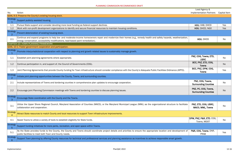|                            |                                                                                                                                                                                                                                                        | Lead Agency &                                       |                     |
|----------------------------|--------------------------------------------------------------------------------------------------------------------------------------------------------------------------------------------------------------------------------------------------------|-----------------------------------------------------|---------------------|
| No.                        | Action                                                                                                                                                                                                                                                 | <b>Implementation Partners</b>                      | <b>Capital Item</b> |
|                            | GOAL 9-3: Preserve the County's existing housing stock.                                                                                                                                                                                                |                                                     |                     |
| Strategy                   | Support publicly assisted housing.                                                                                                                                                                                                                     |                                                     |                     |
| 1.1                        | Pursue State support and consider devoting more local funding as federal support declines.                                                                                                                                                             | HOU, HAB, DHCD                                      | Yes                 |
| 1.2                        | Work with non-profit development organizations to identify and secure financial resources to maintain housing conditions.                                                                                                                              | HOU, DHCD, NGO                                      | Yes                 |
| Strategy<br>$\overline{2}$ | Prevent deterioration of existing housing stock.                                                                                                                                                                                                       |                                                     |                     |
| 2.1                        | Continue and expand programs to help low- and moderate-income homeowners repair and modernize their homes (e.g., remedy health and safety hazards, weatherization,<br>energy conservation, accessibility modifications, lead-based paint remediation). | HOU, DHCD                                           | No                  |
|                            | CHAPTER 10-TOWN PLANNING FRAMEWORK                                                                                                                                                                                                                     |                                                     |                     |
|                            | GOAL 10-1: Foster government cooperation and participation.                                                                                                                                                                                            |                                                     |                     |
| Strategy                   | Promote interjurisdictional cooperation with respect to planning and growth related issues to sustainably manage growth.                                                                                                                               |                                                     |                     |
| 1.1                        | Establish joint planning agreements where appropriate.                                                                                                                                                                                                 | PNZ, COG, Towns, ETD,<br><b>USRC</b>                | No                  |
| 1.2                        | Continue participation in, and support of, the Council of Governments (COG).                                                                                                                                                                           | BCC, PNZ, ETD, COG,<br><b>Towns</b>                 | <b>No</b>           |
| 1.3                        | Joint Planning Agreements that provide County funding for Town infrastructure should consider compliance with the County's Adequate Public Facilities Ordinance (APFO).                                                                                | BCC, PNZ, DPW, COG,<br><b>Towns</b>                 | Yes                 |
| Strategy<br>$\overline{2}$ | Initiate joint planning opportunities between the County, Towns, and surrounding counties.                                                                                                                                                             |                                                     |                     |
| 2.1                        | Include representatives of Towns and bordering counties in comprehensive plan updates to encourage cooperation.                                                                                                                                        | PNZ, COG, Towns,<br><b>Surrounding Counties</b>     | No                  |
| 2.2                        | Encourage joint Planning Commission meetings with Towns and bordering counties to discuss planning issues.                                                                                                                                             | PNZ, PC, COG, Towns,<br><b>Surrounding Counties</b> | <b>No</b>           |
| Strategy<br>3              | Encourage State coordination with the County and the Towns.                                                                                                                                                                                            |                                                     |                     |
| 3.1                        | Utilize the Upper Shore Regional Council, Maryland Association of Counties (MACO), or the Maryland Municipal League (MML) as the organizational structure to facilitate<br>collaboration and cooperation.                                              | PNZ, ETD, COG, USRC,<br>MACO, MML, Towns            | No                  |
| Strategy                   | Attract State resources to match County and local resources to support Town infrastructure improvements.                                                                                                                                               |                                                     |                     |
| 4.1                        | Assist Towns to utilize a variety of tools to establish eligibility for State funds.                                                                                                                                                                   | DPW, PNZ, P&R, ETD, COG,<br>Towns, MDOT             | No                  |
| Strategy<br>5 <sup>5</sup> | Support funding initiatives for more parks, recreation, and open space within Towns.                                                                                                                                                                   |                                                     |                     |
| 5.1                        | As the State provides funds to the County, the County and Towns should coordinate project details and priorities to ensure the appropriate location and development of<br>public facilities to meet both Town and County needs.                        | P&R, COG, Towns, DNR,<br><b>PRAB</b>                | Yes                 |
| Strategy<br>$6^{\circ}$    | Support Town planning by offering County resources for technical and professional services and planning assistance as incentives to achieve responsible smart growth.                                                                                  |                                                     |                     |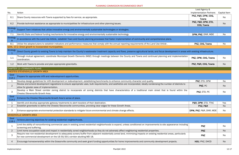|                 |                                                                                                                                                                                                                                                        | Lead Agency &                       |                     |
|-----------------|--------------------------------------------------------------------------------------------------------------------------------------------------------------------------------------------------------------------------------------------------------|-------------------------------------|---------------------|
| No.             | Action                                                                                                                                                                                                                                                 | <b>Implementation Partners</b>      | <b>Capital Item</b> |
| 6.1             | Share County resources with Towns supported by fees for service, as appropriate.                                                                                                                                                                       | PNZ, P&R, DPW, COG,<br><b>Towns</b> | No                  |
| 6.2             | Provide technical assistance as appropriate to municipalities for infrastructure and other planning issues.                                                                                                                                            | PNZ, P&R, DPW, ETD,<br>COG, Towns   | <b>No</b>           |
| Strategy        | Support Town initiatives that utilize innovative energy and environmentally sustainable technologies or strategies.                                                                                                                                    |                                     |                     |
| 7.1             | Identify State and federal funding mechanisms for innovative energy and environmentally sustainable technology.                                                                                                                                        | DPW, PNZ, DNR, MDE                  | No                  |
| Strategy<br>8   | In accordance with the Land Use Article, establish Town and County planning processes that foster implementation of community and comprehensive plans.                                                                                                 |                                     |                     |
| 8.1             | Utilize the adopted plans to establish indicators and performance measures that comply with the annual reporting requirements of the Land Use Article.                                                                                                 | PNZ, COG, Towns                     | No                  |
|                 | GOAL 10-2: Direct growth to incorporated municipalities.                                                                                                                                                                                               |                                     |                     |
| Strategy        | Direct County growth to existing Towns to help maintain the County's wastewater treatment capacity and flows, preserve agricultural lands, and focus development in areas with existing infrastructure.                                                |                                     |                     |
| 1.1             | Through mutual agreement, coordinate Municipal Growth Elements (MGE) through meetings between the County and Towns and continued planning and implementation<br>coordination.                                                                          | PNZ, DPW, COG, Towns                | No                  |
| 1.2             | Work with Towns to provide and plan appropriate greenbelts.                                                                                                                                                                                            | PNZ, P&R, COG, Towns                | <b>No</b>           |
|                 | CHAPTER 11-COMMUNITY PLANS                                                                                                                                                                                                                             |                                     |                     |
|                 | CHESTER/STEVENSVILLE GROWTH AREA                                                                                                                                                                                                                       |                                     |                     |
| Goal<br>$11A-1$ | Prepare for appropriate infill and redevelopment opportunities.                                                                                                                                                                                        |                                     |                     |
| $\lceil$        | Develop design guidelines for infill development or redevelopment, establishing benchmarks to enhance community character and quality.                                                                                                                 | PNZ, ETD, DPW                       | No                  |
| $\overline{2}$  | Review and amend development regulations to ensure appropriate uses, bulk requirements, and aesthetics are incorporated, ideally condensing the number of districts to<br>allow for greater ease of implementation.                                    | PNZ, PC                             | <b>No</b>           |
|                 | Develop a Main Street corridor zoning district to incorporate all zoning districts that have characteristics of a traditional main street that is found within the<br>Chester/Stevensville Growth Area.                                                | PNZ, ETD, PC                        | No                  |
| Goal<br>$11A-2$ | Enhance the Chester/Stevensville Growth Area's sense of place.                                                                                                                                                                                         |                                     |                     |
| - 1             | Identify and develop appropriate gateway treatments to alert travelers of their destination.                                                                                                                                                           | P&R, DPW, ETD, TTAC                 | Yes                 |
| $\overline{2}$  | Establish greenbelts to define the Chester/Stevensville communities, providing clear edges for these Growth Areas.                                                                                                                                     | PNZ, P&R                            | <b>No</b>           |
| 3               | Enhance appropriate environmental protection standards to mitigate future environmental and climate change effects.                                                                                                                                    | DPW, PNZ, P&R, DNR, MDE             | No                  |
|                 | <b>GRASONVILLE GROWTH AREA</b>                                                                                                                                                                                                                         |                                     |                     |
| Goal<br>$11B-1$ | Achieve planning objectives for existing residential neighborhoods.                                                                                                                                                                                    |                                     |                     |
| $\mathbf{1}$    | Limit the ability of nonconforming commercial uses in existing zoned residential neighborhoods to expand, unless conditioned on improvements to site appearance including<br>screening and buffering.                                                  | <b>PNZ</b>                          | No                  |
| $\overline{2}$  | Limit home occupation scale and impact in residentially zoned neighborhoods so they do not adversely affect neighboring residential properties.                                                                                                        | <b>PNZ</b>                          | No                  |
| 3               | Require new non-residential development to adequately screen/buffer from adjacent residentially zoned land, minimizing impacts on existing residential areas, particularly<br>for new commercial development on the US 50/301 corridor abutting MD 18. | <b>PNZ</b>                          | No                  |
| 4               | Encourage homeownership within the Grasonville community and seek grant funding opportunities for home improvements and community development projects.                                                                                                | HOU, PNZ, DHCD                      | No                  |